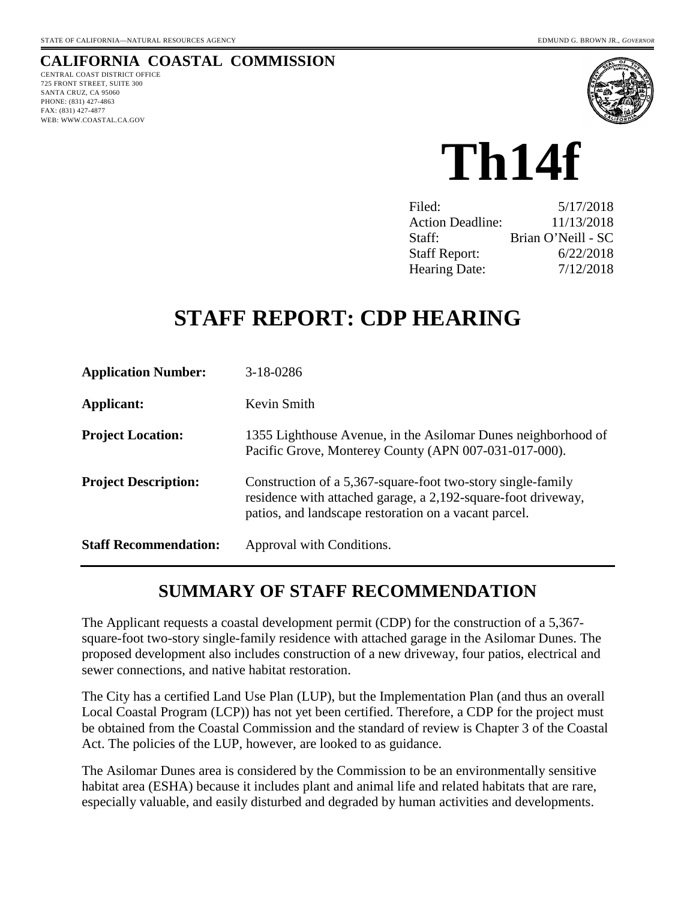# **CALIFORNIA COASTAL COMMISSION**

CENTRAL COAST DISTRICT OFFICE 725 FRONT STREET, SUITE 300 SANTA CRUZ, CA 95060 PHONE: (831) 427-4863 FAX: (831) 427-4877 WEB: WWW.COASTAL.CA.GOV



# **Th14f**

| Filed:                  | 5/17/2018          |
|-------------------------|--------------------|
| <b>Action Deadline:</b> | 11/13/2018         |
| Staff:                  | Brian O'Neill - SC |
| <b>Staff Report:</b>    | 6/22/2018          |
| <b>Hearing Date:</b>    | 7/12/2018          |

# **STAFF REPORT: CDP HEARING**

| <b>Application Number:</b>   | 3-18-0286                                                                                                                                                                             |
|------------------------------|---------------------------------------------------------------------------------------------------------------------------------------------------------------------------------------|
| Applicant:                   | Kevin Smith                                                                                                                                                                           |
| <b>Project Location:</b>     | 1355 Lighthouse Avenue, in the Asilomar Dunes neighborhood of<br>Pacific Grove, Monterey County (APN 007-031-017-000).                                                                |
| <b>Project Description:</b>  | Construction of a 5,367-square-foot two-story single-family<br>residence with attached garage, a 2,192-square-foot driveway,<br>patios, and landscape restoration on a vacant parcel. |
| <b>Staff Recommendation:</b> | Approval with Conditions.                                                                                                                                                             |

# **SUMMARY OF STAFF RECOMMENDATION**

The Applicant requests a coastal development permit (CDP) for the construction of a 5,367 square-foot two-story single-family residence with attached garage in the Asilomar Dunes. The proposed development also includes construction of a new driveway, four patios, electrical and sewer connections, and native habitat restoration.

The City has a certified Land Use Plan (LUP), but the Implementation Plan (and thus an overall Local Coastal Program (LCP)) has not yet been certified. Therefore, a CDP for the project must be obtained from the Coastal Commission and the standard of review is Chapter 3 of the Coastal Act. The policies of the LUP, however, are looked to as guidance.

The Asilomar Dunes area is considered by the Commission to be an environmentally sensitive habitat area (ESHA) because it includes plant and animal life and related habitats that are rare, especially valuable, and easily disturbed and degraded by human activities and developments.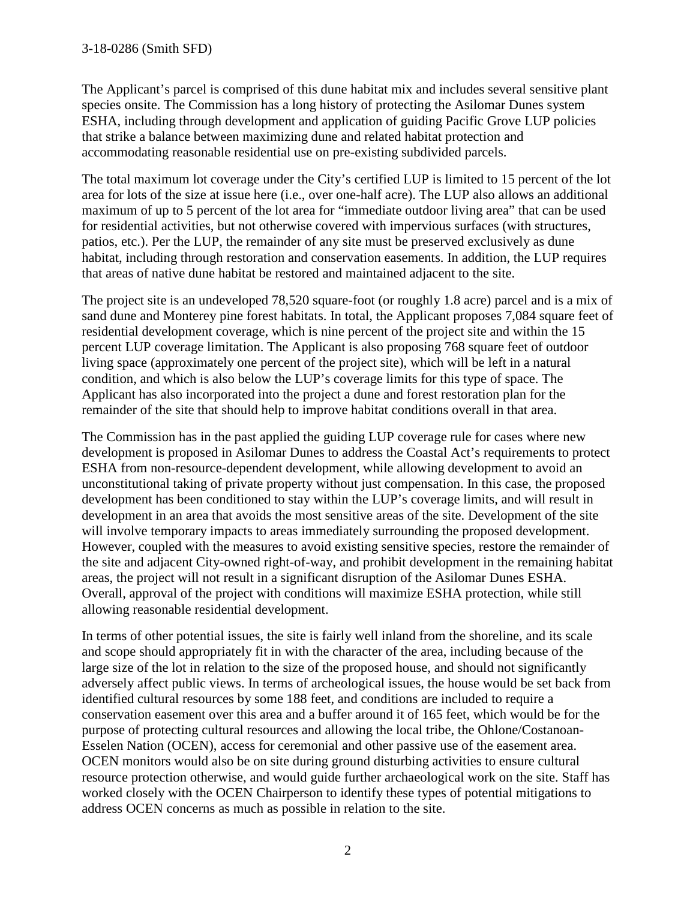#### 3-18-0286 (Smith SFD)

The Applicant's parcel is comprised of this dune habitat mix and includes several sensitive plant species onsite. The Commission has a long history of protecting the Asilomar Dunes system ESHA, including through development and application of guiding Pacific Grove LUP policies that strike a balance between maximizing dune and related habitat protection and accommodating reasonable residential use on pre-existing subdivided parcels.

The total maximum lot coverage under the City's certified LUP is limited to 15 percent of the lot area for lots of the size at issue here (i.e., over one-half acre). The LUP also allows an additional maximum of up to 5 percent of the lot area for "immediate outdoor living area" that can be used for residential activities, but not otherwise covered with impervious surfaces (with structures, patios, etc.). Per the LUP, the remainder of any site must be preserved exclusively as dune habitat, including through restoration and conservation easements. In addition, the LUP requires that areas of native dune habitat be restored and maintained adjacent to the site.

The project site is an undeveloped 78,520 square-foot (or roughly 1.8 acre) parcel and is a mix of sand dune and Monterey pine forest habitats. In total, the Applicant proposes 7,084 square feet of residential development coverage, which is nine percent of the project site and within the 15 percent LUP coverage limitation. The Applicant is also proposing 768 square feet of outdoor living space (approximately one percent of the project site), which will be left in a natural condition, and which is also below the LUP's coverage limits for this type of space. The Applicant has also incorporated into the project a dune and forest restoration plan for the remainder of the site that should help to improve habitat conditions overall in that area.

The Commission has in the past applied the guiding LUP coverage rule for cases where new development is proposed in Asilomar Dunes to address the Coastal Act's requirements to protect ESHA from non-resource-dependent development, while allowing development to avoid an unconstitutional taking of private property without just compensation. In this case, the proposed development has been conditioned to stay within the LUP's coverage limits, and will result in development in an area that avoids the most sensitive areas of the site. Development of the site will involve temporary impacts to areas immediately surrounding the proposed development. However, coupled with the measures to avoid existing sensitive species, restore the remainder of the site and adjacent City-owned right-of-way, and prohibit development in the remaining habitat areas, the project will not result in a significant disruption of the Asilomar Dunes ESHA. Overall, approval of the project with conditions will maximize ESHA protection, while still allowing reasonable residential development.

In terms of other potential issues, the site is fairly well inland from the shoreline, and its scale and scope should appropriately fit in with the character of the area, including because of the large size of the lot in relation to the size of the proposed house, and should not significantly adversely affect public views. In terms of archeological issues, the house would be set back from identified cultural resources by some 188 feet, and conditions are included to require a conservation easement over this area and a buffer around it of 165 feet, which would be for the purpose of protecting cultural resources and allowing the local tribe, the Ohlone/Costanoan-Esselen Nation (OCEN), access for ceremonial and other passive use of the easement area. OCEN monitors would also be on site during ground disturbing activities to ensure cultural resource protection otherwise, and would guide further archaeological work on the site. Staff has worked closely with the OCEN Chairperson to identify these types of potential mitigations to address OCEN concerns as much as possible in relation to the site.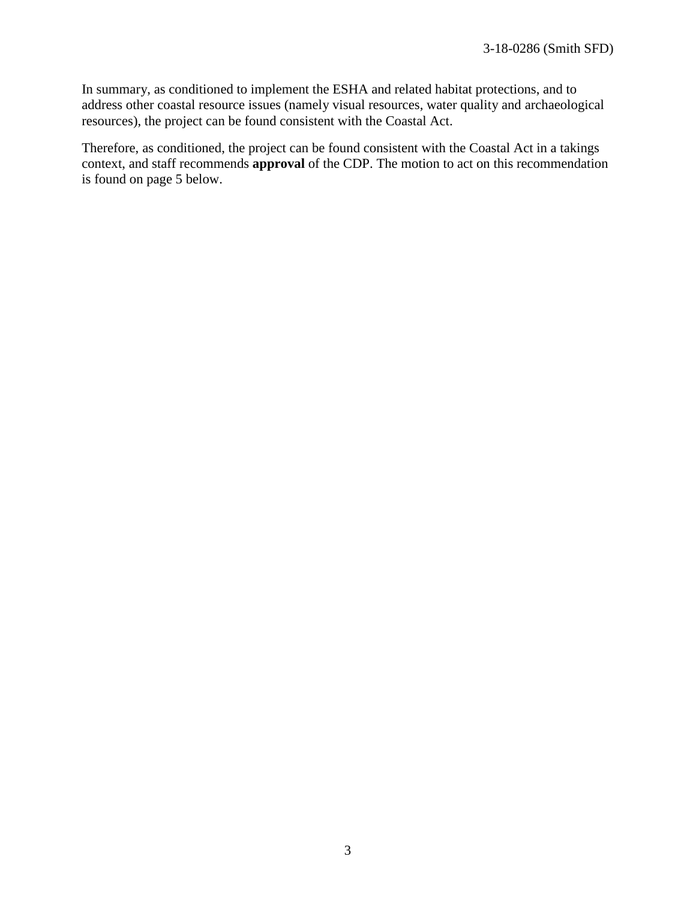In summary, as conditioned to implement the ESHA and related habitat protections, and to address other coastal resource issues (namely visual resources, water quality and archaeological resources), the project can be found consistent with the Coastal Act.

Therefore, as conditioned, the project can be found consistent with the Coastal Act in a takings context, and staff recommends **approval** of the CDP. The motion to act on this recommendation is found on page 5 below.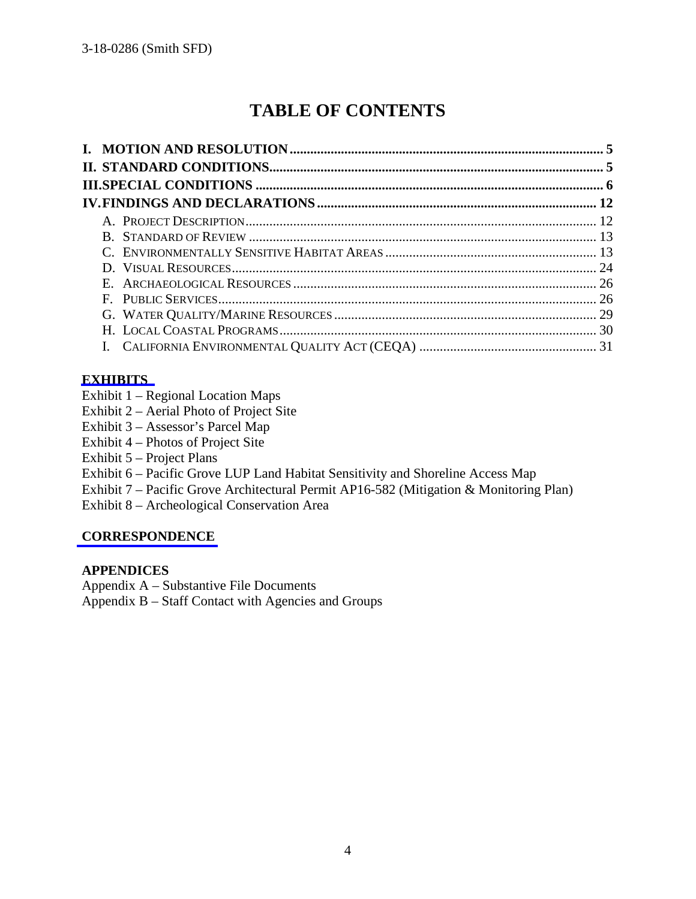# **TABLE OF CONTENTS**

#### **[EXHIBITS](https://documents.coastal.ca.gov/reports/2018/7/Th14f/Th14f-7-2018-exhibits.pdf)**

- Exhibit 1 Regional Location Maps
- Exhibit 2 Aerial Photo of Project Site
- Exhibit 3 Assessor's Parcel Map
- Exhibit 4 Photos of Project Site
- Exhibit 5 Project Plans
- Exhibit 6 Pacific Grove LUP Land Habitat Sensitivity and Shoreline Access Map
- Exhibit 7 Pacific Grove Architectural Permit AP16-582 (Mitigation & Monitoring Plan)
- Exhibit 8 Archeological Conservation Area

#### **[CORRESPONDENCE](https://documents.coastal.ca.gov/reports/2018/7/Th14f/Th14f-7-2018-corresp.pdf)**

#### **APPENDICES**

- Appendix A Substantive File Documents
- Appendix B Staff Contact with Agencies and Groups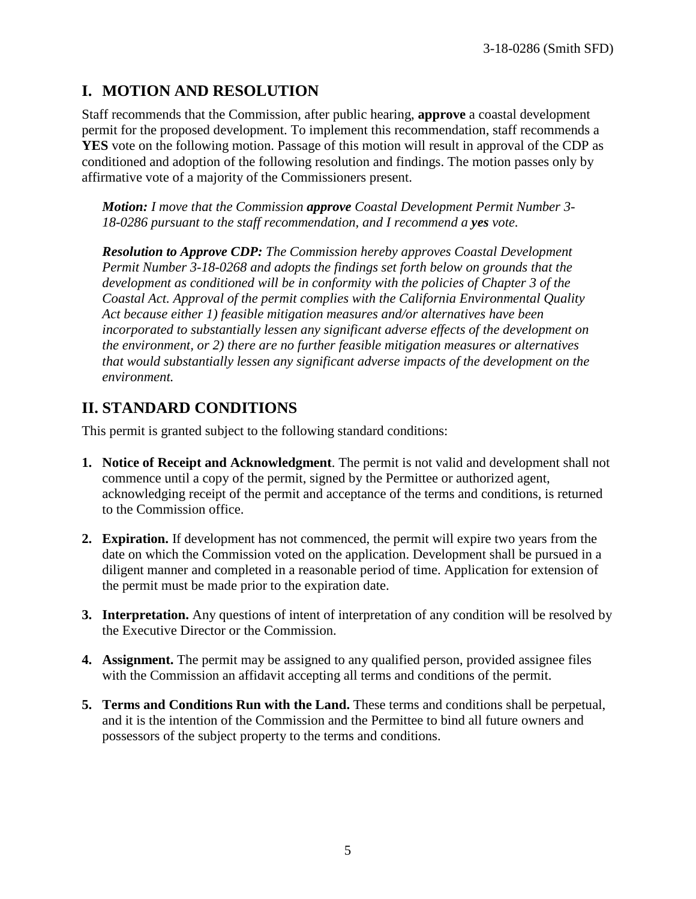# **I. MOTION AND RESOLUTION**

Staff recommends that the Commission, after public hearing, **approve** a coastal development permit for the proposed development. To implement this recommendation, staff recommends a **YES** vote on the following motion. Passage of this motion will result in approval of the CDP as conditioned and adoption of the following resolution and findings. The motion passes only by affirmative vote of a majority of the Commissioners present.

*Motion: I move that the Commission approve Coastal Development Permit Number 3- 18-0286 pursuant to the staff recommendation, and I recommend a yes vote.* 

*Resolution to Approve CDP: The Commission hereby approves Coastal Development Permit Number 3-18-0268 and adopts the findings set forth below on grounds that the development as conditioned will be in conformity with the policies of Chapter 3 of the Coastal Act. Approval of the permit complies with the California Environmental Quality Act because either 1) feasible mitigation measures and/or alternatives have been incorporated to substantially lessen any significant adverse effects of the development on the environment, or 2) there are no further feasible mitigation measures or alternatives that would substantially lessen any significant adverse impacts of the development on the environment.*

# **II. STANDARD CONDITIONS**

This permit is granted subject to the following standard conditions:

- **1. Notice of Receipt and Acknowledgment**. The permit is not valid and development shall not commence until a copy of the permit, signed by the Permittee or authorized agent, acknowledging receipt of the permit and acceptance of the terms and conditions, is returned to the Commission office.
- **2. Expiration.** If development has not commenced, the permit will expire two years from the date on which the Commission voted on the application. Development shall be pursued in a diligent manner and completed in a reasonable period of time. Application for extension of the permit must be made prior to the expiration date.
- **3. Interpretation.** Any questions of intent of interpretation of any condition will be resolved by the Executive Director or the Commission.
- **4. Assignment.** The permit may be assigned to any qualified person, provided assignee files with the Commission an affidavit accepting all terms and conditions of the permit.
- **5. Terms and Conditions Run with the Land.** These terms and conditions shall be perpetual, and it is the intention of the Commission and the Permittee to bind all future owners and possessors of the subject property to the terms and conditions.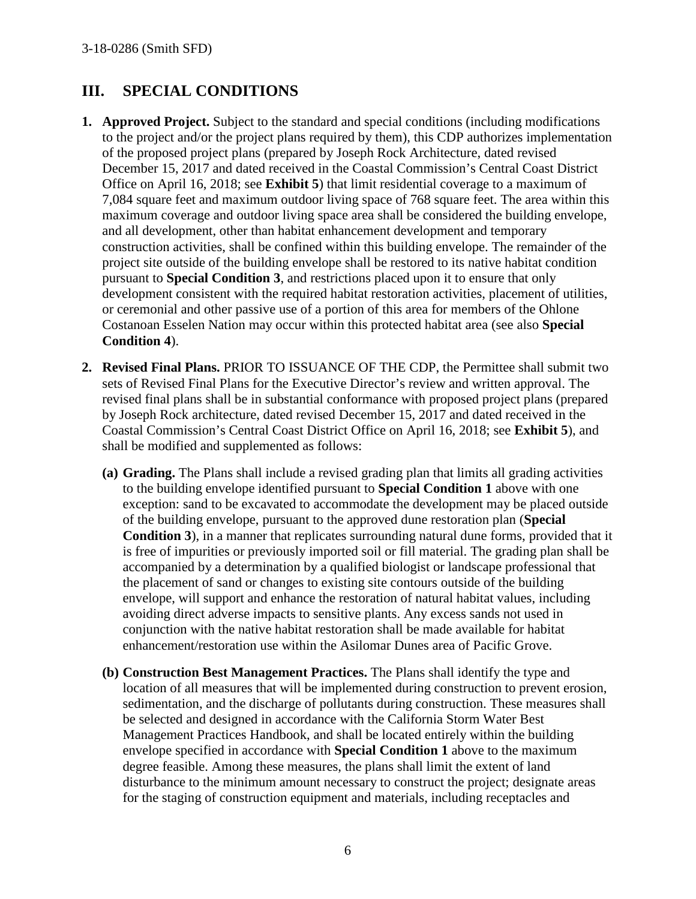# **III. SPECIAL CONDITIONS**

- **1. Approved Project.** Subject to the standard and special conditions (including modifications to the project and/or the project plans required by them), this CDP authorizes implementation of the proposed project plans (prepared by Joseph Rock Architecture, dated revised December 15, 2017 and dated received in the Coastal Commission's Central Coast District Office on April 16, 2018; see **Exhibit 5**) that limit residential coverage to a maximum of 7,084 square feet and maximum outdoor living space of 768 square feet. The area within this maximum coverage and outdoor living space area shall be considered the building envelope, and all development, other than habitat enhancement development and temporary construction activities, shall be confined within this building envelope. The remainder of the project site outside of the building envelope shall be restored to its native habitat condition pursuant to **Special Condition 3**, and restrictions placed upon it to ensure that only development consistent with the required habitat restoration activities, placement of utilities, or ceremonial and other passive use of a portion of this area for members of the Ohlone Costanoan Esselen Nation may occur within this protected habitat area (see also **Special Condition 4**).
- **2. Revised Final Plans.** PRIOR TO ISSUANCE OF THE CDP, the Permittee shall submit two sets of Revised Final Plans for the Executive Director's review and written approval. The revised final plans shall be in substantial conformance with proposed project plans (prepared by Joseph Rock architecture, dated revised December 15, 2017 and dated received in the Coastal Commission's Central Coast District Office on April 16, 2018; see **Exhibit 5**), and shall be modified and supplemented as follows:
	- **(a) Grading.** The Plans shall include a revised grading plan that limits all grading activities to the building envelope identified pursuant to **Special Condition 1** above with one exception: sand to be excavated to accommodate the development may be placed outside of the building envelope, pursuant to the approved dune restoration plan (**Special Condition 3**), in a manner that replicates surrounding natural dune forms, provided that it is free of impurities or previously imported soil or fill material. The grading plan shall be accompanied by a determination by a qualified biologist or landscape professional that the placement of sand or changes to existing site contours outside of the building envelope, will support and enhance the restoration of natural habitat values, including avoiding direct adverse impacts to sensitive plants. Any excess sands not used in conjunction with the native habitat restoration shall be made available for habitat enhancement/restoration use within the Asilomar Dunes area of Pacific Grove.
	- **(b) Construction Best Management Practices.** The Plans shall identify the type and location of all measures that will be implemented during construction to prevent erosion, sedimentation, and the discharge of pollutants during construction. These measures shall be selected and designed in accordance with the California Storm Water Best Management Practices Handbook, and shall be located entirely within the building envelope specified in accordance with **Special Condition 1** above to the maximum degree feasible. Among these measures, the plans shall limit the extent of land disturbance to the minimum amount necessary to construct the project; designate areas for the staging of construction equipment and materials, including receptacles and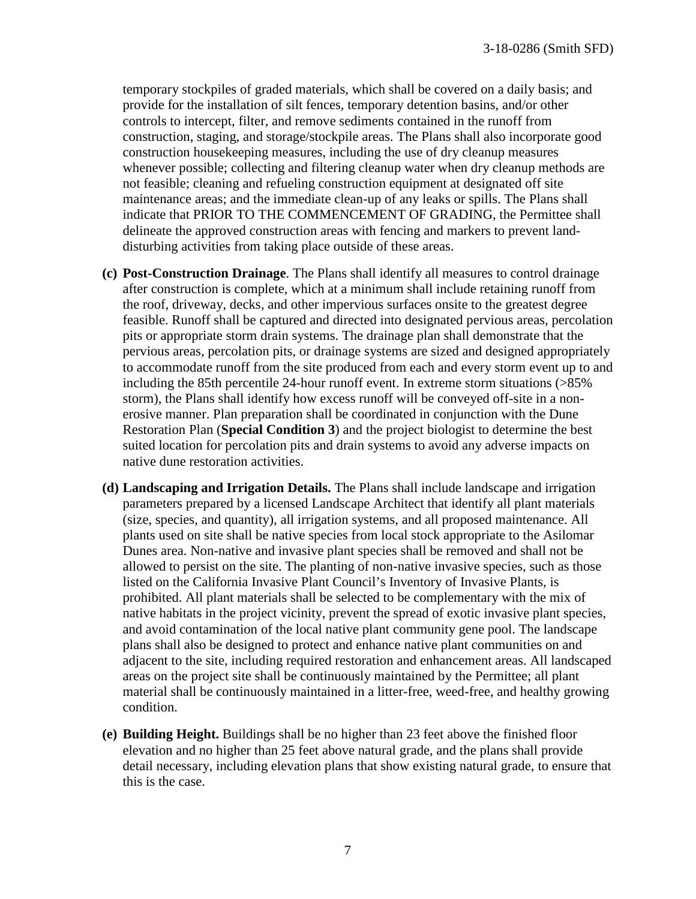temporary stockpiles of graded materials, which shall be covered on a daily basis; and provide for the installation of silt fences, temporary detention basins, and/or other controls to intercept, filter, and remove sediments contained in the runoff from construction, staging, and storage/stockpile areas. The Plans shall also incorporate good construction housekeeping measures, including the use of dry cleanup measures whenever possible; collecting and filtering cleanup water when dry cleanup methods are not feasible; cleaning and refueling construction equipment at designated off site maintenance areas; and the immediate clean-up of any leaks or spills. The Plans shall indicate that PRIOR TO THE COMMENCEMENT OF GRADING, the Permittee shall delineate the approved construction areas with fencing and markers to prevent landdisturbing activities from taking place outside of these areas.

- **(c) Post-Construction Drainage**. The Plans shall identify all measures to control drainage after construction is complete, which at a minimum shall include retaining runoff from the roof, driveway, decks, and other impervious surfaces onsite to the greatest degree feasible. Runoff shall be captured and directed into designated pervious areas, percolation pits or appropriate storm drain systems. The drainage plan shall demonstrate that the pervious areas, percolation pits, or drainage systems are sized and designed appropriately to accommodate runoff from the site produced from each and every storm event up to and including the 85th percentile 24-hour runoff event. In extreme storm situations (>85% storm), the Plans shall identify how excess runoff will be conveyed off-site in a nonerosive manner. Plan preparation shall be coordinated in conjunction with the Dune Restoration Plan (**Special Condition 3**) and the project biologist to determine the best suited location for percolation pits and drain systems to avoid any adverse impacts on native dune restoration activities.
- **(d) Landscaping and Irrigation Details.** The Plans shall include landscape and irrigation parameters prepared by a licensed Landscape Architect that identify all plant materials (size, species, and quantity), all irrigation systems, and all proposed maintenance. All plants used on site shall be native species from local stock appropriate to the Asilomar Dunes area. Non-native and invasive plant species shall be removed and shall not be allowed to persist on the site. The planting of non-native invasive species, such as those listed on the California Invasive Plant Council's Inventory of Invasive Plants, is prohibited. All plant materials shall be selected to be complementary with the mix of native habitats in the project vicinity, prevent the spread of exotic invasive plant species, and avoid contamination of the local native plant community gene pool. The landscape plans shall also be designed to protect and enhance native plant communities on and adjacent to the site, including required restoration and enhancement areas. All landscaped areas on the project site shall be continuously maintained by the Permittee; all plant material shall be continuously maintained in a litter-free, weed-free, and healthy growing condition.
- **(e) Building Height.** Buildings shall be no higher than 23 feet above the finished floor elevation and no higher than 25 feet above natural grade, and the plans shall provide detail necessary, including elevation plans that show existing natural grade, to ensure that this is the case.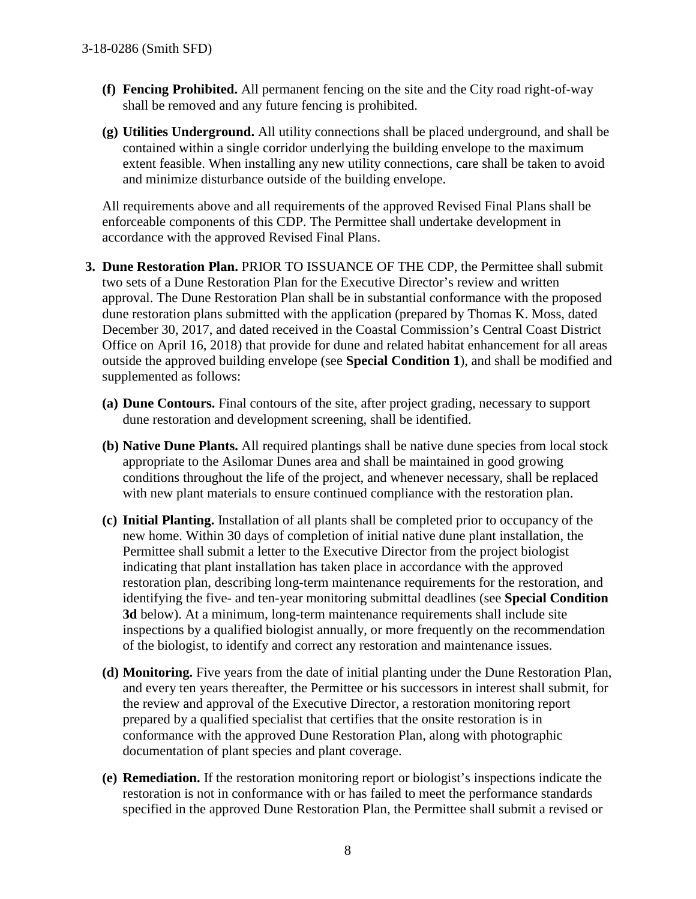- **(f) Fencing Prohibited.** All permanent fencing on the site and the City road right-of-way shall be removed and any future fencing is prohibited.
- **(g) Utilities Underground.** All utility connections shall be placed underground, and shall be contained within a single corridor underlying the building envelope to the maximum extent feasible. When installing any new utility connections, care shall be taken to avoid and minimize disturbance outside of the building envelope.

All requirements above and all requirements of the approved Revised Final Plans shall be enforceable components of this CDP. The Permittee shall undertake development in accordance with the approved Revised Final Plans.

- **3. Dune Restoration Plan.** PRIOR TO ISSUANCE OF THE CDP, the Permittee shall submit two sets of a Dune Restoration Plan for the Executive Director's review and written approval. The Dune Restoration Plan shall be in substantial conformance with the proposed dune restoration plans submitted with the application (prepared by Thomas K. Moss, dated December 30, 2017, and dated received in the Coastal Commission's Central Coast District Office on April 16, 2018) that provide for dune and related habitat enhancement for all areas outside the approved building envelope (see **Special Condition 1**), and shall be modified and supplemented as follows:
	- **(a) Dune Contours.** Final contours of the site, after project grading, necessary to support dune restoration and development screening, shall be identified.
	- **(b) Native Dune Plants.** All required plantings shall be native dune species from local stock appropriate to the Asilomar Dunes area and shall be maintained in good growing conditions throughout the life of the project, and whenever necessary, shall be replaced with new plant materials to ensure continued compliance with the restoration plan.
	- **(c) Initial Planting.** Installation of all plants shall be completed prior to occupancy of the new home. Within 30 days of completion of initial native dune plant installation, the Permittee shall submit a letter to the Executive Director from the project biologist indicating that plant installation has taken place in accordance with the approved restoration plan, describing long-term maintenance requirements for the restoration, and identifying the five- and ten-year monitoring submittal deadlines (see **Special Condition 3d** below). At a minimum, long-term maintenance requirements shall include site inspections by a qualified biologist annually, or more frequently on the recommendation of the biologist, to identify and correct any restoration and maintenance issues.
	- **(d) Monitoring.** Five years from the date of initial planting under the Dune Restoration Plan, and every ten years thereafter, the Permittee or his successors in interest shall submit, for the review and approval of the Executive Director, a restoration monitoring report prepared by a qualified specialist that certifies that the onsite restoration is in conformance with the approved Dune Restoration Plan, along with photographic documentation of plant species and plant coverage.
	- **(e) Remediation.** If the restoration monitoring report or biologist's inspections indicate the restoration is not in conformance with or has failed to meet the performance standards specified in the approved Dune Restoration Plan, the Permittee shall submit a revised or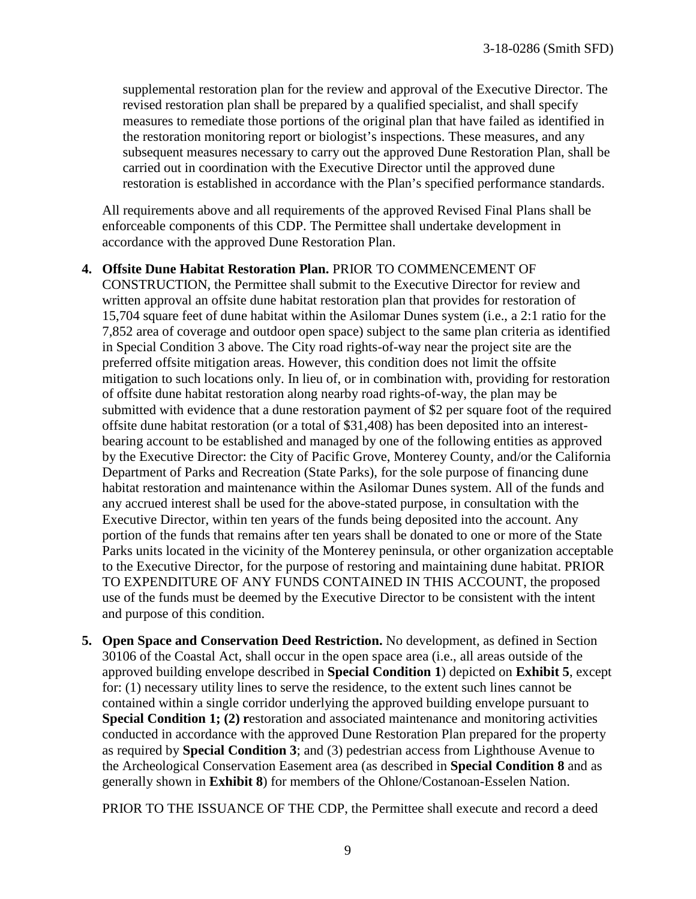supplemental restoration plan for the review and approval of the Executive Director. The revised restoration plan shall be prepared by a qualified specialist, and shall specify measures to remediate those portions of the original plan that have failed as identified in the restoration monitoring report or biologist's inspections. These measures, and any subsequent measures necessary to carry out the approved Dune Restoration Plan, shall be carried out in coordination with the Executive Director until the approved dune restoration is established in accordance with the Plan's specified performance standards.

All requirements above and all requirements of the approved Revised Final Plans shall be enforceable components of this CDP. The Permittee shall undertake development in accordance with the approved Dune Restoration Plan.

#### **4. Offsite Dune Habitat Restoration Plan.** PRIOR TO COMMENCEMENT OF

CONSTRUCTION, the Permittee shall submit to the Executive Director for review and written approval an offsite dune habitat restoration plan that provides for restoration of 15,704 square feet of dune habitat within the Asilomar Dunes system (i.e., a 2:1 ratio for the 7,852 area of coverage and outdoor open space) subject to the same plan criteria as identified in Special Condition 3 above. The City road rights-of-way near the project site are the preferred offsite mitigation areas. However, this condition does not limit the offsite mitigation to such locations only. In lieu of, or in combination with, providing for restoration of offsite dune habitat restoration along nearby road rights-of-way, the plan may be submitted with evidence that a dune restoration payment of \$2 per square foot of the required offsite dune habitat restoration (or a total of \$31,408) has been deposited into an interestbearing account to be established and managed by one of the following entities as approved by the Executive Director: the City of Pacific Grove, Monterey County, and/or the California Department of Parks and Recreation (State Parks), for the sole purpose of financing dune habitat restoration and maintenance within the Asilomar Dunes system. All of the funds and any accrued interest shall be used for the above-stated purpose, in consultation with the Executive Director, within ten years of the funds being deposited into the account. Any portion of the funds that remains after ten years shall be donated to one or more of the State Parks units located in the vicinity of the Monterey peninsula, or other organization acceptable to the Executive Director, for the purpose of restoring and maintaining dune habitat. PRIOR TO EXPENDITURE OF ANY FUNDS CONTAINED IN THIS ACCOUNT, the proposed use of the funds must be deemed by the Executive Director to be consistent with the intent and purpose of this condition.

**5. Open Space and Conservation Deed Restriction.** No development, as defined in Section 30106 of the Coastal Act, shall occur in the open space area (i.e., all areas outside of the approved building envelope described in **Special Condition 1**) depicted on **Exhibit 5**, except for: (1) necessary utility lines to serve the residence, to the extent such lines cannot be contained within a single corridor underlying the approved building envelope pursuant to **Special Condition 1; (2) restoration and associated maintenance and monitoring activities** conducted in accordance with the approved Dune Restoration Plan prepared for the property as required by **Special Condition 3**; and (3) pedestrian access from Lighthouse Avenue to the Archeological Conservation Easement area (as described in **Special Condition 8** and as generally shown in **Exhibit 8**) for members of the Ohlone/Costanoan-Esselen Nation.

PRIOR TO THE ISSUANCE OF THE CDP, the Permittee shall execute and record a deed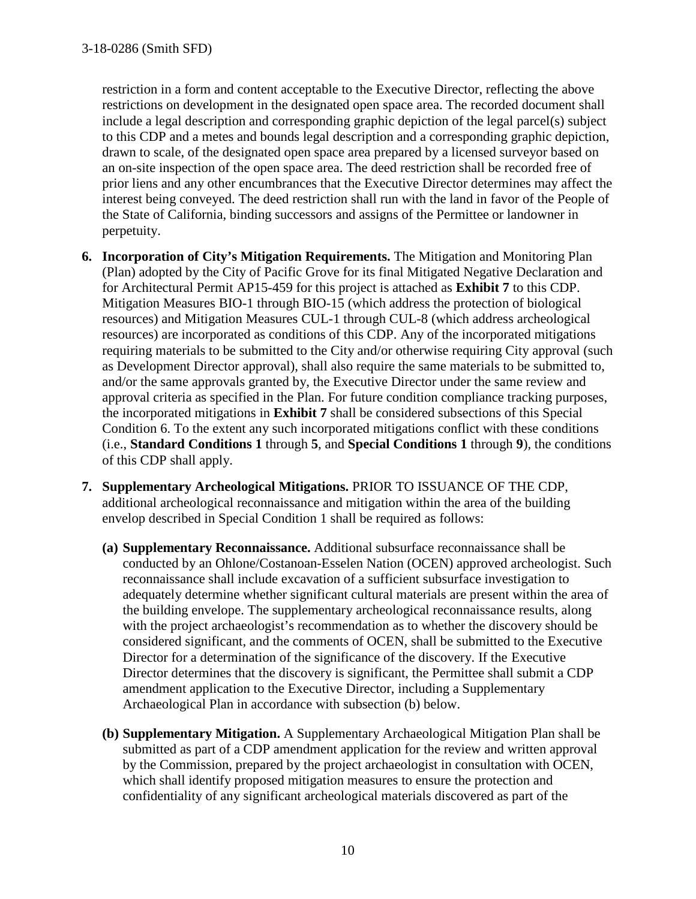restriction in a form and content acceptable to the Executive Director, reflecting the above restrictions on development in the designated open space area. The recorded document shall include a legal description and corresponding graphic depiction of the legal parcel(s) subject to this CDP and a metes and bounds legal description and a corresponding graphic depiction, drawn to scale, of the designated open space area prepared by a licensed surveyor based on an on-site inspection of the open space area. The deed restriction shall be recorded free of prior liens and any other encumbrances that the Executive Director determines may affect the interest being conveyed. The deed restriction shall run with the land in favor of the People of the State of California, binding successors and assigns of the Permittee or landowner in perpetuity.

- **6. Incorporation of City's Mitigation Requirements.** The Mitigation and Monitoring Plan (Plan) adopted by the City of Pacific Grove for its final Mitigated Negative Declaration and for Architectural Permit AP15-459 for this project is attached as **Exhibit 7** to this CDP. Mitigation Measures BIO-1 through BIO-15 (which address the protection of biological resources) and Mitigation Measures CUL-1 through CUL-8 (which address archeological resources) are incorporated as conditions of this CDP. Any of the incorporated mitigations requiring materials to be submitted to the City and/or otherwise requiring City approval (such as Development Director approval), shall also require the same materials to be submitted to, and/or the same approvals granted by, the Executive Director under the same review and approval criteria as specified in the Plan. For future condition compliance tracking purposes, the incorporated mitigations in **Exhibit 7** shall be considered subsections of this Special Condition 6. To the extent any such incorporated mitigations conflict with these conditions (i.e., **Standard Conditions 1** through **5**, and **Special Conditions 1** through **9**), the conditions of this CDP shall apply.
- **7. Supplementary Archeological Mitigations.** PRIOR TO ISSUANCE OF THE CDP, additional archeological reconnaissance and mitigation within the area of the building envelop described in Special Condition 1 shall be required as follows:
	- **(a) Supplementary Reconnaissance.** Additional subsurface reconnaissance shall be conducted by an Ohlone/Costanoan-Esselen Nation (OCEN) approved archeologist. Such reconnaissance shall include excavation of a sufficient subsurface investigation to adequately determine whether significant cultural materials are present within the area of the building envelope. The supplementary archeological reconnaissance results, along with the project archaeologist's recommendation as to whether the discovery should be considered significant, and the comments of OCEN, shall be submitted to the Executive Director for a determination of the significance of the discovery. If the Executive Director determines that the discovery is significant, the Permittee shall submit a CDP amendment application to the Executive Director, including a Supplementary Archaeological Plan in accordance with subsection (b) below.
	- **(b) Supplementary Mitigation.** A Supplementary Archaeological Mitigation Plan shall be submitted as part of a CDP amendment application for the review and written approval by the Commission, prepared by the project archaeologist in consultation with OCEN, which shall identify proposed mitigation measures to ensure the protection and confidentiality of any significant archeological materials discovered as part of the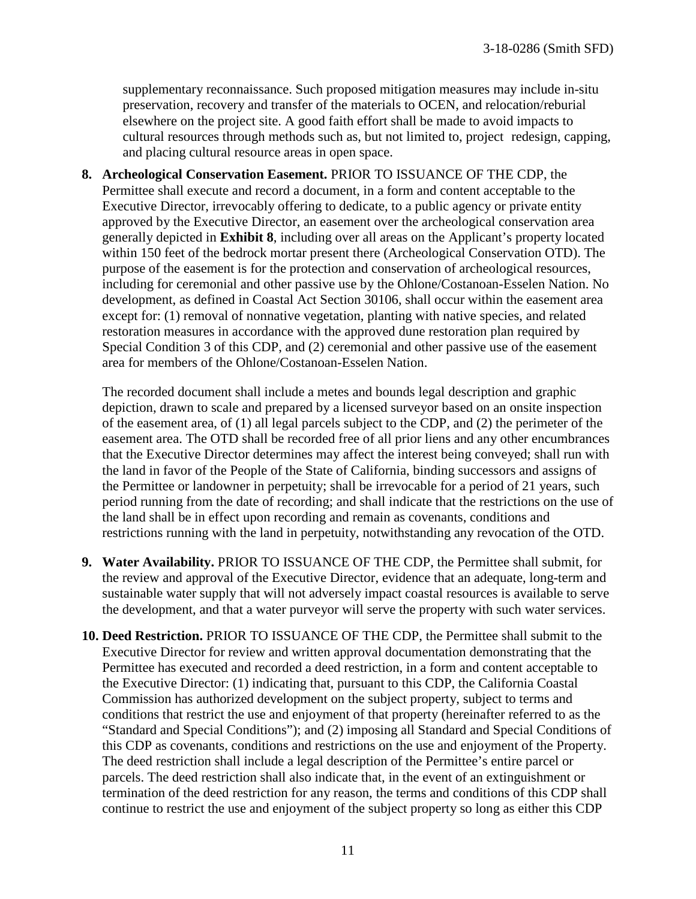supplementary reconnaissance. Such proposed mitigation measures may include in-situ preservation, recovery and transfer of the materials to OCEN, and relocation/reburial elsewhere on the project site. A good faith effort shall be made to avoid impacts to cultural resources through methods such as, but not limited to, project redesign, capping, and placing cultural resource areas in open space.

**8. Archeological Conservation Easement.** PRIOR TO ISSUANCE OF THE CDP, the Permittee shall execute and record a document, in a form and content acceptable to the Executive Director, irrevocably offering to dedicate, to a public agency or private entity approved by the Executive Director, an easement over the archeological conservation area generally depicted in **Exhibit 8**, including over all areas on the Applicant's property located within 150 feet of the bedrock mortar present there (Archeological Conservation OTD). The purpose of the easement is for the protection and conservation of archeological resources, including for ceremonial and other passive use by the Ohlone/Costanoan-Esselen Nation. No development, as defined in Coastal Act Section 30106, shall occur within the easement area except for: (1) removal of nonnative vegetation, planting with native species, and related restoration measures in accordance with the approved dune restoration plan required by Special Condition 3 of this CDP, and (2) ceremonial and other passive use of the easement area for members of the Ohlone/Costanoan-Esselen Nation.

The recorded document shall include a metes and bounds legal description and graphic depiction, drawn to scale and prepared by a licensed surveyor based on an onsite inspection of the easement area, of (1) all legal parcels subject to the CDP, and (2) the perimeter of the easement area. The OTD shall be recorded free of all prior liens and any other encumbrances that the Executive Director determines may affect the interest being conveyed; shall run with the land in favor of the People of the State of California, binding successors and assigns of the Permittee or landowner in perpetuity; shall be irrevocable for a period of 21 years, such period running from the date of recording; and shall indicate that the restrictions on the use of the land shall be in effect upon recording and remain as covenants, conditions and restrictions running with the land in perpetuity, notwithstanding any revocation of the OTD.

- **9. Water Availability.** PRIOR TO ISSUANCE OF THE CDP, the Permittee shall submit, for the review and approval of the Executive Director, evidence that an adequate, long-term and sustainable water supply that will not adversely impact coastal resources is available to serve the development, and that a water purveyor will serve the property with such water services.
- **10. Deed Restriction.** PRIOR TO ISSUANCE OF THE CDP, the Permittee shall submit to the Executive Director for review and written approval documentation demonstrating that the Permittee has executed and recorded a deed restriction, in a form and content acceptable to the Executive Director: (1) indicating that, pursuant to this CDP, the California Coastal Commission has authorized development on the subject property, subject to terms and conditions that restrict the use and enjoyment of that property (hereinafter referred to as the "Standard and Special Conditions"); and (2) imposing all Standard and Special Conditions of this CDP as covenants, conditions and restrictions on the use and enjoyment of the Property. The deed restriction shall include a legal description of the Permittee's entire parcel or parcels. The deed restriction shall also indicate that, in the event of an extinguishment or termination of the deed restriction for any reason, the terms and conditions of this CDP shall continue to restrict the use and enjoyment of the subject property so long as either this CDP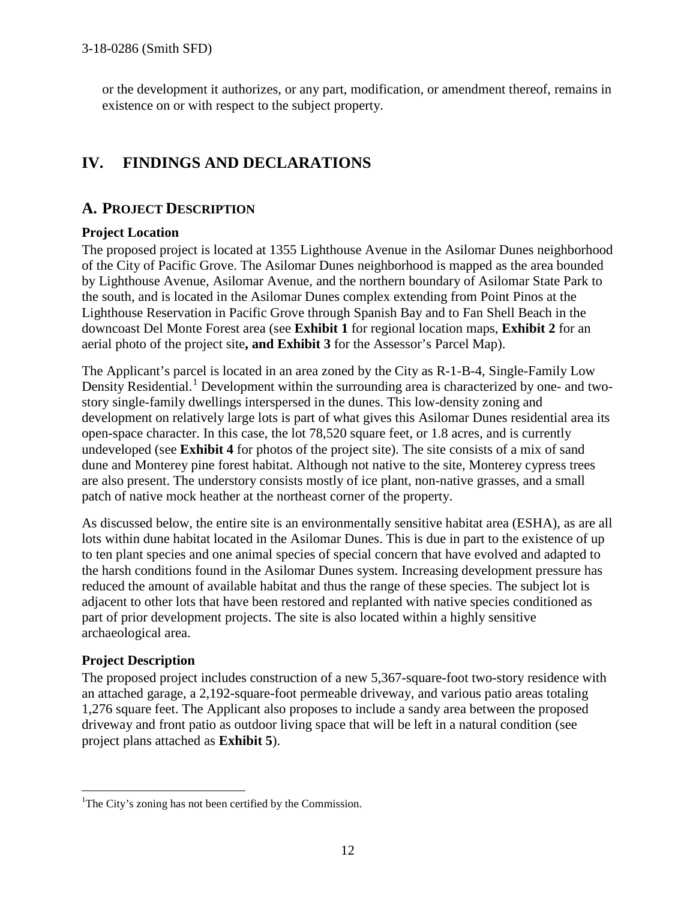or the development it authorizes, or any part, modification, or amendment thereof, remains in existence on or with respect to the subject property.

# **IV. FINDINGS AND DECLARATIONS**

# **A. PROJECT DESCRIPTION**

#### **Project Location**

The proposed project is located at 1355 Lighthouse Avenue in the Asilomar Dunes neighborhood of the City of Pacific Grove. The Asilomar Dunes neighborhood is mapped as the area bounded by Lighthouse Avenue, Asilomar Avenue, and the northern boundary of Asilomar State Park to the south, and is located in the Asilomar Dunes complex extending from Point Pinos at the Lighthouse Reservation in Pacific Grove through Spanish Bay and to Fan Shell Beach in the downcoast Del Monte Forest area (see **Exhibit 1** for regional location maps, **Exhibit 2** for an aerial photo of the project site**, and Exhibit 3** for the Assessor's Parcel Map).

The Applicant's parcel is located in an area zoned by the City as R-1-B-4, Single-Family Low Density Residential.<sup>[1](#page-11-0)</sup> Development within the surrounding area is characterized by one- and twostory single-family dwellings interspersed in the dunes. This low-density zoning and development on relatively large lots is part of what gives this Asilomar Dunes residential area its open-space character. In this case, the lot 78,520 square feet, or 1.8 acres, and is currently undeveloped (see **Exhibit 4** for photos of the project site). The site consists of a mix of sand dune and Monterey pine forest habitat. Although not native to the site, Monterey cypress trees are also present. The understory consists mostly of ice plant, non-native grasses, and a small patch of native mock heather at the northeast corner of the property.

As discussed below, the entire site is an environmentally sensitive habitat area (ESHA), as are all lots within dune habitat located in the Asilomar Dunes. This is due in part to the existence of up to ten plant species and one animal species of special concern that have evolved and adapted to the harsh conditions found in the Asilomar Dunes system. Increasing development pressure has reduced the amount of available habitat and thus the range of these species. The subject lot is adjacent to other lots that have been restored and replanted with native species conditioned as part of prior development projects. The site is also located within a highly sensitive archaeological area.

#### **Project Description**

The proposed project includes construction of a new 5,367-square-foot two-story residence with an attached garage, a 2,192-square-foot permeable driveway, and various patio areas totaling 1,276 square feet. The Applicant also proposes to include a sandy area between the proposed driveway and front patio as outdoor living space that will be left in a natural condition (see project plans attached as **Exhibit 5**).

<span id="page-11-0"></span><sup>&</sup>lt;sup>1</sup>The City's zoning has not been certified by the Commission.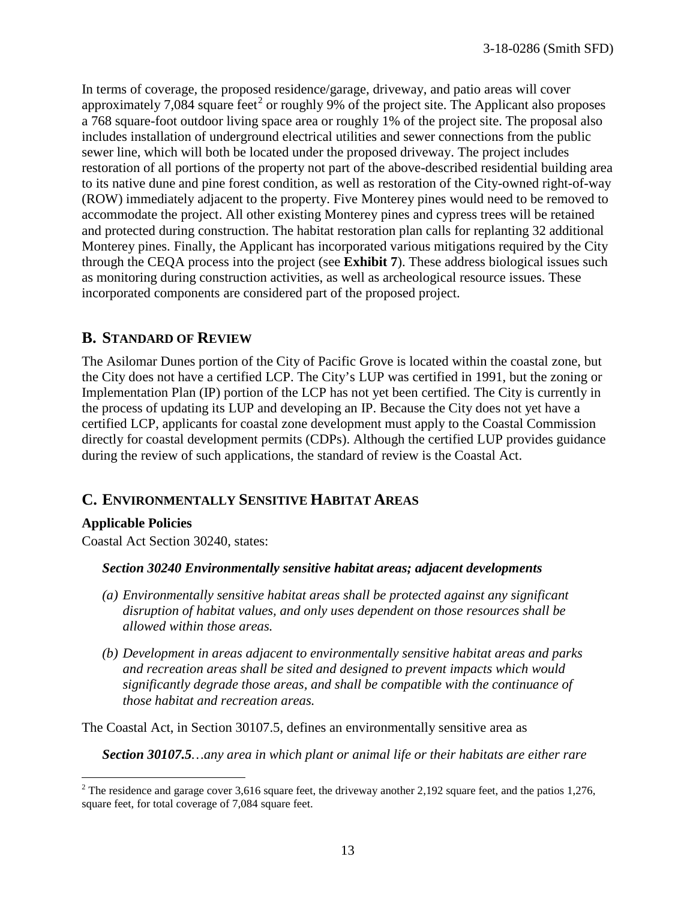In terms of coverage, the proposed residence/garage, driveway, and patio areas will cover approximately 7,084 square feet<sup>[2](#page-12-0)</sup> or roughly 9% of the project site. The Applicant also proposes a 768 square-foot outdoor living space area or roughly 1% of the project site. The proposal also includes installation of underground electrical utilities and sewer connections from the public sewer line, which will both be located under the proposed driveway. The project includes restoration of all portions of the property not part of the above-described residential building area to its native dune and pine forest condition, as well as restoration of the City-owned right-of-way (ROW) immediately adjacent to the property. Five Monterey pines would need to be removed to accommodate the project. All other existing Monterey pines and cypress trees will be retained and protected during construction. The habitat restoration plan calls for replanting 32 additional Monterey pines. Finally, the Applicant has incorporated various mitigations required by the City through the CEQA process into the project (see **Exhibit 7**). These address biological issues such as monitoring during construction activities, as well as archeological resource issues. These incorporated components are considered part of the proposed project.

## **B. STANDARD OF REVIEW**

The Asilomar Dunes portion of the City of Pacific Grove is located within the coastal zone, but the City does not have a certified LCP. The City's LUP was certified in 1991, but the zoning or Implementation Plan (IP) portion of the LCP has not yet been certified. The City is currently in the process of updating its LUP and developing an IP. Because the City does not yet have a certified LCP, applicants for coastal zone development must apply to the Coastal Commission directly for coastal development permits (CDPs). Although the certified LUP provides guidance during the review of such applications, the standard of review is the Coastal Act.

# **C. ENVIRONMENTALLY SENSITIVE HABITAT AREAS**

#### **Applicable Policies**

 $\overline{a}$ 

Coastal Act Section 30240, states:

#### *Section 30240 Environmentally sensitive habitat areas; adjacent developments*

- *(a) Environmentally sensitive habitat areas shall be protected against any significant disruption of habitat values, and only uses dependent on those resources shall be allowed within those areas.*
- *(b) Development in areas adjacent to environmentally sensitive habitat areas and parks and recreation areas shall be sited and designed to prevent impacts which would significantly degrade those areas, and shall be compatible with the continuance of those habitat and recreation areas.*

The Coastal Act, in Section 30107.5, defines an environmentally sensitive area as

*Section 30107.5…any area in which plant or animal life or their habitats are either rare* 

<span id="page-12-0"></span><sup>&</sup>lt;sup>2</sup> The residence and garage cover 3,616 square feet, the driveway another 2,192 square feet, and the patios 1,276, square feet, for total coverage of 7,084 square feet.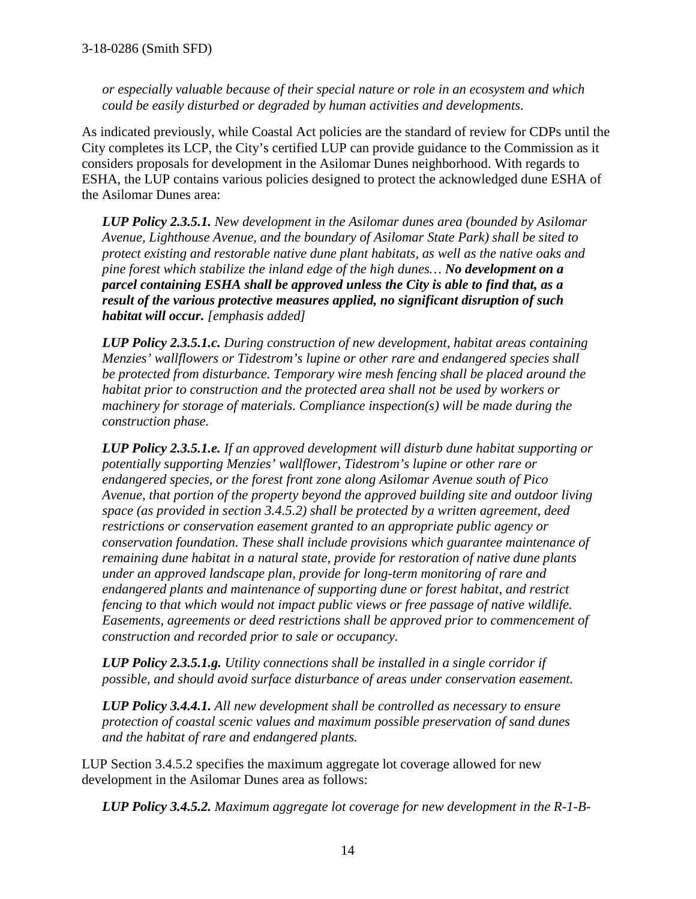*or especially valuable because of their special nature or role in an ecosystem and which could be easily disturbed or degraded by human activities and developments.* 

As indicated previously, while Coastal Act policies are the standard of review for CDPs until the City completes its LCP, the City's certified LUP can provide guidance to the Commission as it considers proposals for development in the Asilomar Dunes neighborhood. With regards to ESHA, the LUP contains various policies designed to protect the acknowledged dune ESHA of the Asilomar Dunes area:

*LUP Policy 2.3.5.1. New development in the Asilomar dunes area (bounded by Asilomar Avenue, Lighthouse Avenue, and the boundary of Asilomar State Park) shall be sited to protect existing and restorable native dune plant habitats, as well as the native oaks and pine forest which stabilize the inland edge of the high dunes… No development on a parcel containing ESHA shall be approved unless the City is able to find that, as a result of the various protective measures applied, no significant disruption of such habitat will occur. [emphasis added]* 

*LUP Policy 2.3.5.1.c. During construction of new development, habitat areas containing Menzies' wallflowers or Tidestrom's lupine or other rare and endangered species shall be protected from disturbance. Temporary wire mesh fencing shall be placed around the habitat prior to construction and the protected area shall not be used by workers or machinery for storage of materials. Compliance inspection(s) will be made during the construction phase.*

*LUP Policy 2.3.5.1.e. If an approved development will disturb dune habitat supporting or potentially supporting Menzies' wallflower, Tidestrom's lupine or other rare or endangered species, or the forest front zone along Asilomar Avenue south of Pico Avenue, that portion of the property beyond the approved building site and outdoor living space (as provided in section 3.4.5.2) shall be protected by a written agreement, deed restrictions or conservation easement granted to an appropriate public agency or conservation foundation. These shall include provisions which guarantee maintenance of remaining dune habitat in a natural state, provide for restoration of native dune plants under an approved landscape plan, provide for long-term monitoring of rare and endangered plants and maintenance of supporting dune or forest habitat, and restrict fencing to that which would not impact public views or free passage of native wildlife. Easements, agreements or deed restrictions shall be approved prior to commencement of construction and recorded prior to sale or occupancy.* 

*LUP Policy 2.3.5.1.g. Utility connections shall be installed in a single corridor if possible, and should avoid surface disturbance of areas under conservation easement.* 

*LUP Policy 3.4.4.1. All new development shall be controlled as necessary to ensure protection of coastal scenic values and maximum possible preservation of sand dunes and the habitat of rare and endangered plants.* 

LUP Section 3.4.5.2 specifies the maximum aggregate lot coverage allowed for new development in the Asilomar Dunes area as follows:

*LUP Policy 3.4.5.2. Maximum aggregate lot coverage for new development in the R-1-B-*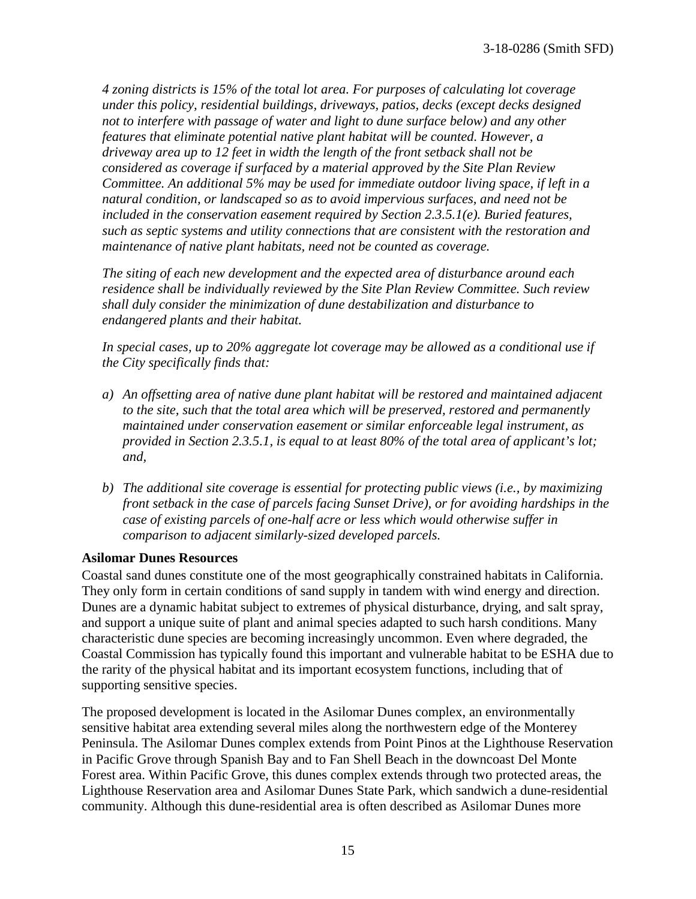*4 zoning districts is 15% of the total lot area. For purposes of calculating lot coverage under this policy, residential buildings, driveways, patios, decks (except decks designed not to interfere with passage of water and light to dune surface below) and any other features that eliminate potential native plant habitat will be counted. However, a driveway area up to 12 feet in width the length of the front setback shall not be considered as coverage if surfaced by a material approved by the Site Plan Review Committee. An additional 5% may be used for immediate outdoor living space, if left in a natural condition, or landscaped so as to avoid impervious surfaces, and need not be included in the conservation easement required by Section 2.3.5.1(e). Buried features, such as septic systems and utility connections that are consistent with the restoration and maintenance of native plant habitats, need not be counted as coverage.* 

*The siting of each new development and the expected area of disturbance around each residence shall be individually reviewed by the Site Plan Review Committee. Such review shall duly consider the minimization of dune destabilization and disturbance to endangered plants and their habitat.* 

*In special cases, up to 20% aggregate lot coverage may be allowed as a conditional use if the City specifically finds that:*

- *a) An offsetting area of native dune plant habitat will be restored and maintained adjacent to the site, such that the total area which will be preserved, restored and permanently maintained under conservation easement or similar enforceable legal instrument, as provided in Section 2.3.5.1, is equal to at least 80% of the total area of applicant's lot; and,*
- *b) The additional site coverage is essential for protecting public views (i.e., by maximizing front setback in the case of parcels facing Sunset Drive), or for avoiding hardships in the case of existing parcels of one-half acre or less which would otherwise suffer in comparison to adjacent similarly-sized developed parcels.*

#### **Asilomar Dunes Resources**

Coastal sand dunes constitute one of the most geographically constrained habitats in California. They only form in certain conditions of sand supply in tandem with wind energy and direction. Dunes are a dynamic habitat subject to extremes of physical disturbance, drying, and salt spray, and support a unique suite of plant and animal species adapted to such harsh conditions. Many characteristic dune species are becoming increasingly uncommon. Even where degraded, the Coastal Commission has typically found this important and vulnerable habitat to be ESHA due to the rarity of the physical habitat and its important ecosystem functions, including that of supporting sensitive species.

The proposed development is located in the Asilomar Dunes complex, an environmentally sensitive habitat area extending several miles along the northwestern edge of the Monterey Peninsula. The Asilomar Dunes complex extends from Point Pinos at the Lighthouse Reservation in Pacific Grove through Spanish Bay and to Fan Shell Beach in the downcoast Del Monte Forest area. Within Pacific Grove, this dunes complex extends through two protected areas, the Lighthouse Reservation area and Asilomar Dunes State Park, which sandwich a dune-residential community. Although this dune-residential area is often described as Asilomar Dunes more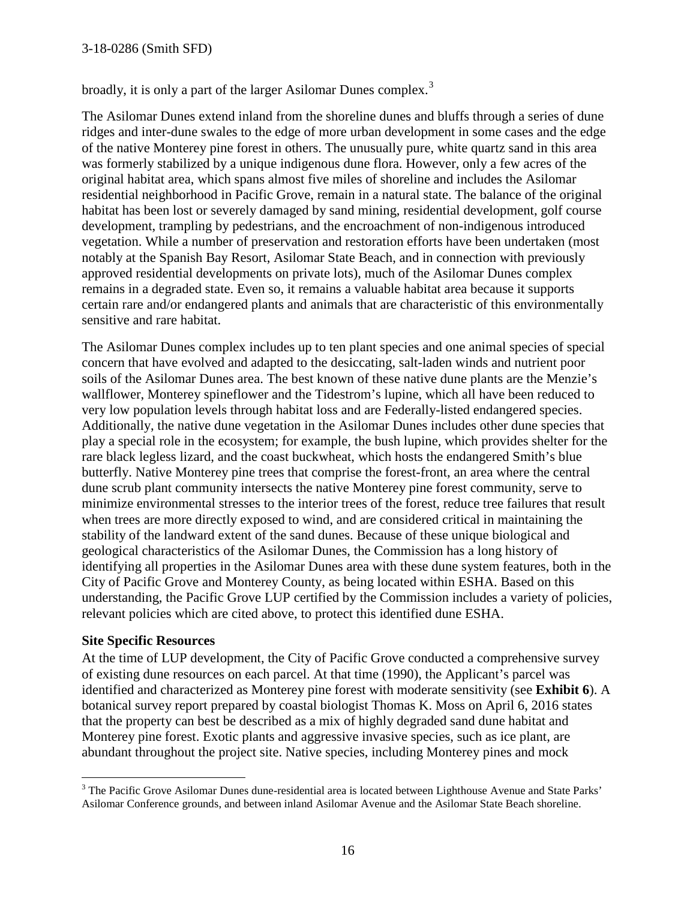#### 3-18-0286 (Smith SFD)

broadly, it is only a part of the larger Asilomar Dunes complex.<sup>[3](#page-15-0)</sup>

The Asilomar Dunes extend inland from the shoreline dunes and bluffs through a series of dune ridges and inter-dune swales to the edge of more urban development in some cases and the edge of the native Monterey pine forest in others. The unusually pure, white quartz sand in this area was formerly stabilized by a unique indigenous dune flora. However, only a few acres of the original habitat area, which spans almost five miles of shoreline and includes the Asilomar residential neighborhood in Pacific Grove, remain in a natural state. The balance of the original habitat has been lost or severely damaged by sand mining, residential development, golf course development, trampling by pedestrians, and the encroachment of non-indigenous introduced vegetation. While a number of preservation and restoration efforts have been undertaken (most notably at the Spanish Bay Resort, Asilomar State Beach, and in connection with previously approved residential developments on private lots), much of the Asilomar Dunes complex remains in a degraded state. Even so, it remains a valuable habitat area because it supports certain rare and/or endangered plants and animals that are characteristic of this environmentally sensitive and rare habitat.

The Asilomar Dunes complex includes up to ten plant species and one animal species of special concern that have evolved and adapted to the desiccating, salt-laden winds and nutrient poor soils of the Asilomar Dunes area. The best known of these native dune plants are the Menzie's wallflower, Monterey spineflower and the Tidestrom's lupine, which all have been reduced to very low population levels through habitat loss and are Federally-listed endangered species. Additionally, the native dune vegetation in the Asilomar Dunes includes other dune species that play a special role in the ecosystem; for example, the bush lupine, which provides shelter for the rare black legless lizard, and the coast buckwheat, which hosts the endangered Smith's blue butterfly. Native Monterey pine trees that comprise the forest-front, an area where the central dune scrub plant community intersects the native Monterey pine forest community, serve to minimize environmental stresses to the interior trees of the forest, reduce tree failures that result when trees are more directly exposed to wind, and are considered critical in maintaining the stability of the landward extent of the sand dunes. Because of these unique biological and geological characteristics of the Asilomar Dunes, the Commission has a long history of identifying all properties in the Asilomar Dunes area with these dune system features, both in the City of Pacific Grove and Monterey County, as being located within ESHA. Based on this understanding, the Pacific Grove LUP certified by the Commission includes a variety of policies, relevant policies which are cited above, to protect this identified dune ESHA.

#### **Site Specific Resources**

At the time of LUP development, the City of Pacific Grove conducted a comprehensive survey of existing dune resources on each parcel. At that time (1990), the Applicant's parcel was identified and characterized as Monterey pine forest with moderate sensitivity (see **Exhibit 6**). A botanical survey report prepared by coastal biologist Thomas K. Moss on April 6, 2016 states that the property can best be described as a mix of highly degraded sand dune habitat and Monterey pine forest. Exotic plants and aggressive invasive species, such as ice plant, are abundant throughout the project site. Native species, including Monterey pines and mock

<span id="page-15-0"></span> $\overline{a}$ <sup>3</sup> The Pacific Grove Asilomar Dunes dune-residential area is located between Lighthouse Avenue and State Parks' Asilomar Conference grounds, and between inland Asilomar Avenue and the Asilomar State Beach shoreline.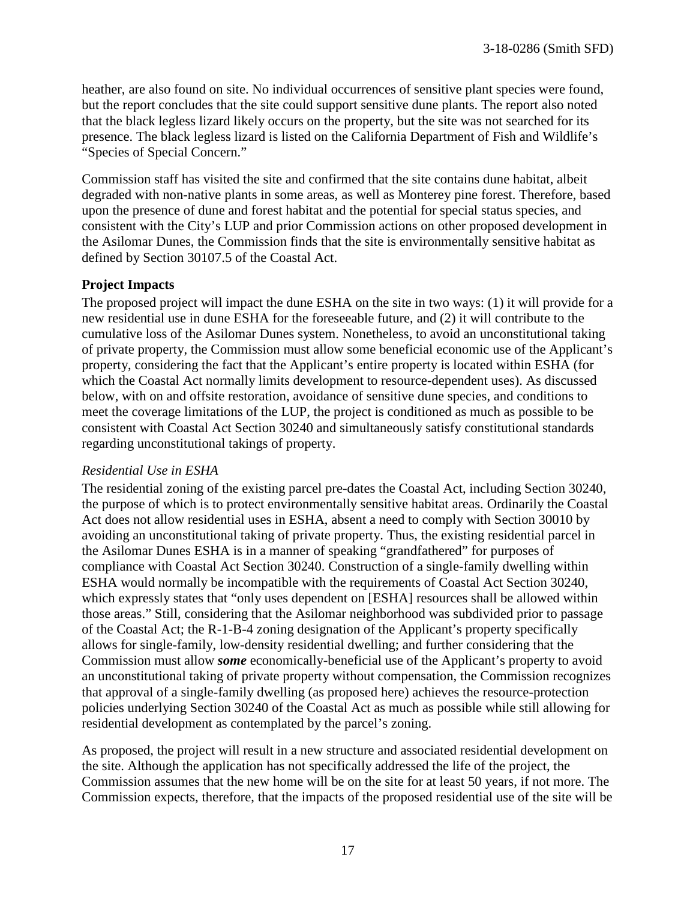heather, are also found on site. No individual occurrences of sensitive plant species were found, but the report concludes that the site could support sensitive dune plants. The report also noted that the black legless lizard likely occurs on the property, but the site was not searched for its presence. The black legless lizard is listed on the California Department of Fish and Wildlife's "Species of Special Concern."

Commission staff has visited the site and confirmed that the site contains dune habitat, albeit degraded with non-native plants in some areas, as well as Monterey pine forest. Therefore, based upon the presence of dune and forest habitat and the potential for special status species, and consistent with the City's LUP and prior Commission actions on other proposed development in the Asilomar Dunes, the Commission finds that the site is environmentally sensitive habitat as defined by Section 30107.5 of the Coastal Act.

#### **Project Impacts**

The proposed project will impact the dune ESHA on the site in two ways: (1) it will provide for a new residential use in dune ESHA for the foreseeable future, and (2) it will contribute to the cumulative loss of the Asilomar Dunes system. Nonetheless, to avoid an unconstitutional taking of private property, the Commission must allow some beneficial economic use of the Applicant's property, considering the fact that the Applicant's entire property is located within ESHA (for which the Coastal Act normally limits development to resource-dependent uses). As discussed below, with on and offsite restoration, avoidance of sensitive dune species, and conditions to meet the coverage limitations of the LUP, the project is conditioned as much as possible to be consistent with Coastal Act Section 30240 and simultaneously satisfy constitutional standards regarding unconstitutional takings of property.

#### *Residential Use in ESHA*

The residential zoning of the existing parcel pre-dates the Coastal Act, including Section 30240, the purpose of which is to protect environmentally sensitive habitat areas. Ordinarily the Coastal Act does not allow residential uses in ESHA, absent a need to comply with Section 30010 by avoiding an unconstitutional taking of private property. Thus, the existing residential parcel in the Asilomar Dunes ESHA is in a manner of speaking "grandfathered" for purposes of compliance with Coastal Act Section 30240. Construction of a single-family dwelling within ESHA would normally be incompatible with the requirements of Coastal Act Section 30240, which expressly states that "only uses dependent on [ESHA] resources shall be allowed within those areas." Still, considering that the Asilomar neighborhood was subdivided prior to passage of the Coastal Act; the R-1-B-4 zoning designation of the Applicant's property specifically allows for single-family, low-density residential dwelling; and further considering that the Commission must allow *some* economically-beneficial use of the Applicant's property to avoid an unconstitutional taking of private property without compensation, the Commission recognizes that approval of a single-family dwelling (as proposed here) achieves the resource-protection policies underlying Section 30240 of the Coastal Act as much as possible while still allowing for residential development as contemplated by the parcel's zoning.

As proposed, the project will result in a new structure and associated residential development on the site. Although the application has not specifically addressed the life of the project, the Commission assumes that the new home will be on the site for at least 50 years, if not more. The Commission expects, therefore, that the impacts of the proposed residential use of the site will be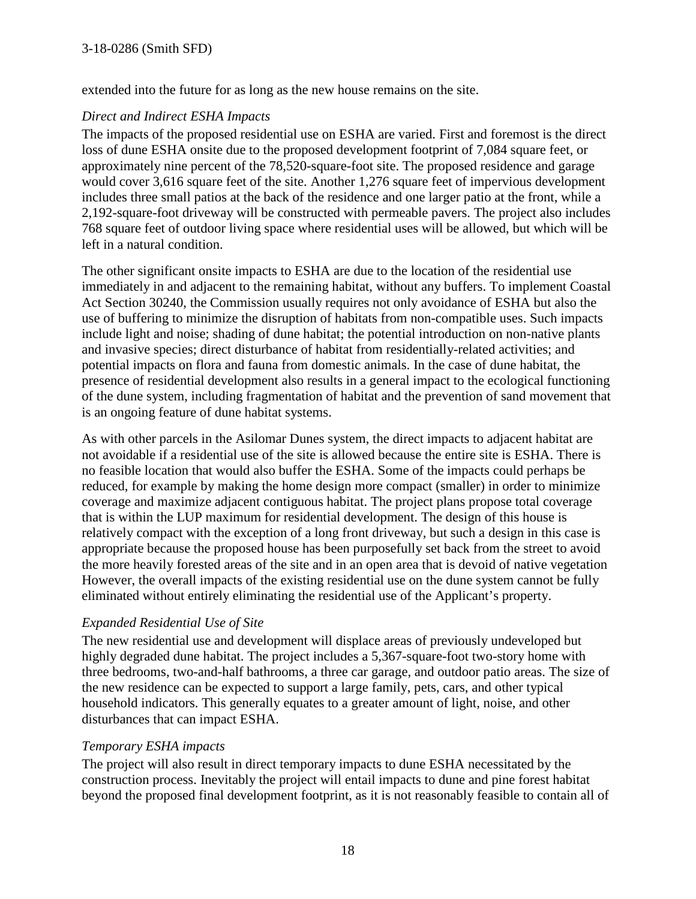#### 3-18-0286 (Smith SFD)

extended into the future for as long as the new house remains on the site.

#### *Direct and Indirect ESHA Impacts*

The impacts of the proposed residential use on ESHA are varied. First and foremost is the direct loss of dune ESHA onsite due to the proposed development footprint of 7,084 square feet, or approximately nine percent of the 78,520-square-foot site. The proposed residence and garage would cover 3,616 square feet of the site. Another 1,276 square feet of impervious development includes three small patios at the back of the residence and one larger patio at the front, while a 2,192-square-foot driveway will be constructed with permeable pavers. The project also includes 768 square feet of outdoor living space where residential uses will be allowed, but which will be left in a natural condition.

The other significant onsite impacts to ESHA are due to the location of the residential use immediately in and adjacent to the remaining habitat, without any buffers. To implement Coastal Act Section 30240, the Commission usually requires not only avoidance of ESHA but also the use of buffering to minimize the disruption of habitats from non-compatible uses. Such impacts include light and noise; shading of dune habitat; the potential introduction on non-native plants and invasive species; direct disturbance of habitat from residentially-related activities; and potential impacts on flora and fauna from domestic animals. In the case of dune habitat, the presence of residential development also results in a general impact to the ecological functioning of the dune system, including fragmentation of habitat and the prevention of sand movement that is an ongoing feature of dune habitat systems.

As with other parcels in the Asilomar Dunes system, the direct impacts to adjacent habitat are not avoidable if a residential use of the site is allowed because the entire site is ESHA. There is no feasible location that would also buffer the ESHA. Some of the impacts could perhaps be reduced, for example by making the home design more compact (smaller) in order to minimize coverage and maximize adjacent contiguous habitat. The project plans propose total coverage that is within the LUP maximum for residential development. The design of this house is relatively compact with the exception of a long front driveway, but such a design in this case is appropriate because the proposed house has been purposefully set back from the street to avoid the more heavily forested areas of the site and in an open area that is devoid of native vegetation However, the overall impacts of the existing residential use on the dune system cannot be fully eliminated without entirely eliminating the residential use of the Applicant's property.

#### *Expanded Residential Use of Site*

The new residential use and development will displace areas of previously undeveloped but highly degraded dune habitat. The project includes a 5,367-square-foot two-story home with three bedrooms, two-and-half bathrooms, a three car garage, and outdoor patio areas. The size of the new residence can be expected to support a large family, pets, cars, and other typical household indicators. This generally equates to a greater amount of light, noise, and other disturbances that can impact ESHA.

#### *Temporary ESHA impacts*

The project will also result in direct temporary impacts to dune ESHA necessitated by the construction process. Inevitably the project will entail impacts to dune and pine forest habitat beyond the proposed final development footprint, as it is not reasonably feasible to contain all of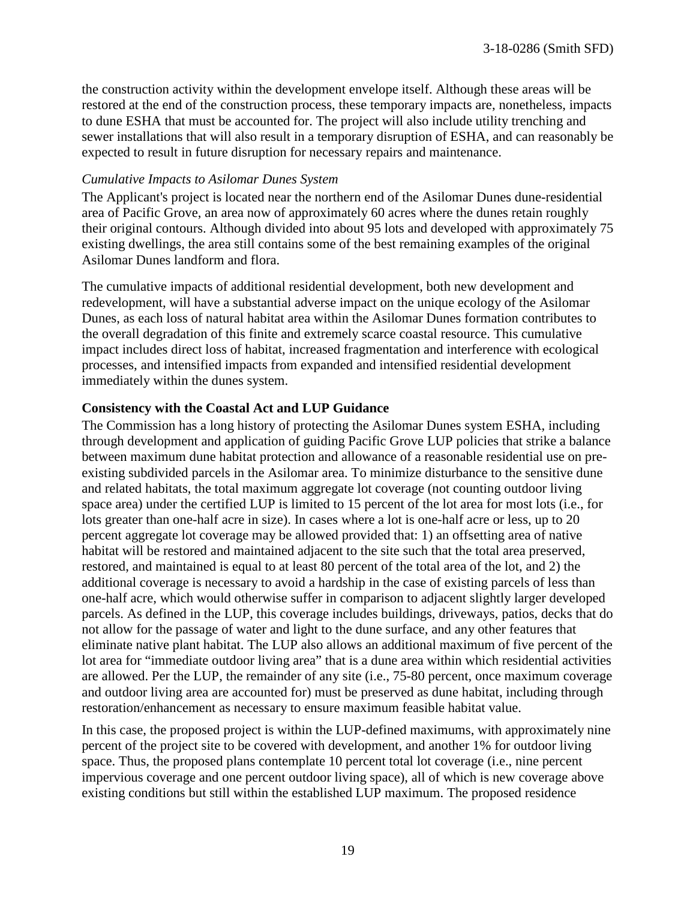the construction activity within the development envelope itself. Although these areas will be restored at the end of the construction process, these temporary impacts are, nonetheless, impacts to dune ESHA that must be accounted for. The project will also include utility trenching and sewer installations that will also result in a temporary disruption of ESHA, and can reasonably be expected to result in future disruption for necessary repairs and maintenance.

#### *Cumulative Impacts to Asilomar Dunes System*

The Applicant's project is located near the northern end of the Asilomar Dunes dune-residential area of Pacific Grove, an area now of approximately 60 acres where the dunes retain roughly their original contours. Although divided into about 95 lots and developed with approximately 75 existing dwellings, the area still contains some of the best remaining examples of the original Asilomar Dunes landform and flora.

The cumulative impacts of additional residential development, both new development and redevelopment, will have a substantial adverse impact on the unique ecology of the Asilomar Dunes, as each loss of natural habitat area within the Asilomar Dunes formation contributes to the overall degradation of this finite and extremely scarce coastal resource. This cumulative impact includes direct loss of habitat, increased fragmentation and interference with ecological processes, and intensified impacts from expanded and intensified residential development immediately within the dunes system.

#### **Consistency with the Coastal Act and LUP Guidance**

The Commission has a long history of protecting the Asilomar Dunes system ESHA, including through development and application of guiding Pacific Grove LUP policies that strike a balance between maximum dune habitat protection and allowance of a reasonable residential use on preexisting subdivided parcels in the Asilomar area. To minimize disturbance to the sensitive dune and related habitats, the total maximum aggregate lot coverage (not counting outdoor living space area) under the certified LUP is limited to 15 percent of the lot area for most lots (i.e., for lots greater than one-half acre in size). In cases where a lot is one-half acre or less, up to 20 percent aggregate lot coverage may be allowed provided that: 1) an offsetting area of native habitat will be restored and maintained adjacent to the site such that the total area preserved, restored, and maintained is equal to at least 80 percent of the total area of the lot, and 2) the additional coverage is necessary to avoid a hardship in the case of existing parcels of less than one-half acre, which would otherwise suffer in comparison to adjacent slightly larger developed parcels. As defined in the LUP, this coverage includes buildings, driveways, patios, decks that do not allow for the passage of water and light to the dune surface, and any other features that eliminate native plant habitat. The LUP also allows an additional maximum of five percent of the lot area for "immediate outdoor living area" that is a dune area within which residential activities are allowed. Per the LUP, the remainder of any site (i.e., 75-80 percent, once maximum coverage and outdoor living area are accounted for) must be preserved as dune habitat, including through restoration/enhancement as necessary to ensure maximum feasible habitat value.

In this case, the proposed project is within the LUP-defined maximums, with approximately nine percent of the project site to be covered with development, and another 1% for outdoor living space. Thus, the proposed plans contemplate 10 percent total lot coverage (i.e., nine percent impervious coverage and one percent outdoor living space), all of which is new coverage above existing conditions but still within the established LUP maximum. The proposed residence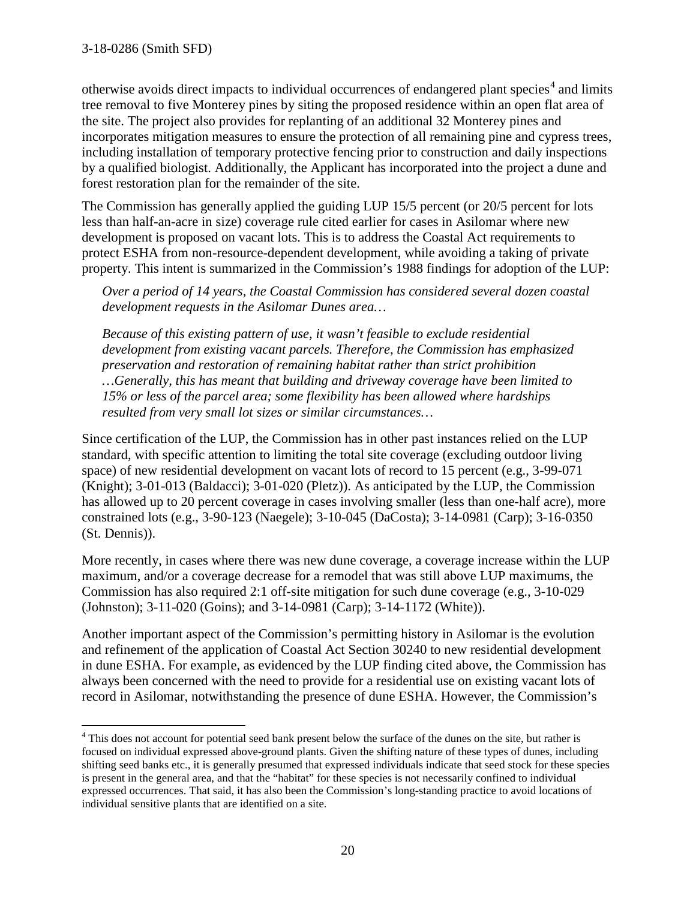otherwise avoids direct impacts to individual occurrences of endangered plant species<sup>[4](#page-19-0)</sup> and limits tree removal to five Monterey pines by siting the proposed residence within an open flat area of the site. The project also provides for replanting of an additional 32 Monterey pines and incorporates mitigation measures to ensure the protection of all remaining pine and cypress trees, including installation of temporary protective fencing prior to construction and daily inspections by a qualified biologist. Additionally, the Applicant has incorporated into the project a dune and forest restoration plan for the remainder of the site.

The Commission has generally applied the guiding LUP 15/5 percent (or 20/5 percent for lots less than half-an-acre in size) coverage rule cited earlier for cases in Asilomar where new development is proposed on vacant lots. This is to address the Coastal Act requirements to protect ESHA from non-resource-dependent development, while avoiding a taking of private property. This intent is summarized in the Commission's 1988 findings for adoption of the LUP:

*Over a period of 14 years, the Coastal Commission has considered several dozen coastal development requests in the Asilomar Dunes area…* 

*Because of this existing pattern of use, it wasn't feasible to exclude residential development from existing vacant parcels. Therefore, the Commission has emphasized preservation and restoration of remaining habitat rather than strict prohibition …Generally, this has meant that building and driveway coverage have been limited to 15% or less of the parcel area; some flexibility has been allowed where hardships resulted from very small lot sizes or similar circumstances…*

Since certification of the LUP, the Commission has in other past instances relied on the LUP standard, with specific attention to limiting the total site coverage (excluding outdoor living space) of new residential development on vacant lots of record to 15 percent (e.g., 3-99-071 (Knight); 3-01-013 (Baldacci); 3-01-020 (Pletz)). As anticipated by the LUP, the Commission has allowed up to 20 percent coverage in cases involving smaller (less than one-half acre), more constrained lots (e.g., 3-90-123 (Naegele); 3-10-045 (DaCosta); 3-14-0981 (Carp); 3-16-0350 (St. Dennis)).

More recently, in cases where there was new dune coverage, a coverage increase within the LUP maximum, and/or a coverage decrease for a remodel that was still above LUP maximums, the Commission has also required 2:1 off-site mitigation for such dune coverage (e.g., 3-10-029 (Johnston); 3-11-020 (Goins); and 3-14-0981 (Carp); 3-14-1172 (White)).

Another important aspect of the Commission's permitting history in Asilomar is the evolution and refinement of the application of Coastal Act Section 30240 to new residential development in dune ESHA. For example, as evidenced by the LUP finding cited above, the Commission has always been concerned with the need to provide for a residential use on existing vacant lots of record in Asilomar, notwithstanding the presence of dune ESHA. However, the Commission's

<span id="page-19-0"></span> $\overline{a}$ <sup>4</sup> This does not account for potential seed bank present below the surface of the dunes on the site, but rather is focused on individual expressed above-ground plants. Given the shifting nature of these types of dunes, including shifting seed banks etc., it is generally presumed that expressed individuals indicate that seed stock for these species is present in the general area, and that the "habitat" for these species is not necessarily confined to individual expressed occurrences. That said, it has also been the Commission's long-standing practice to avoid locations of individual sensitive plants that are identified on a site.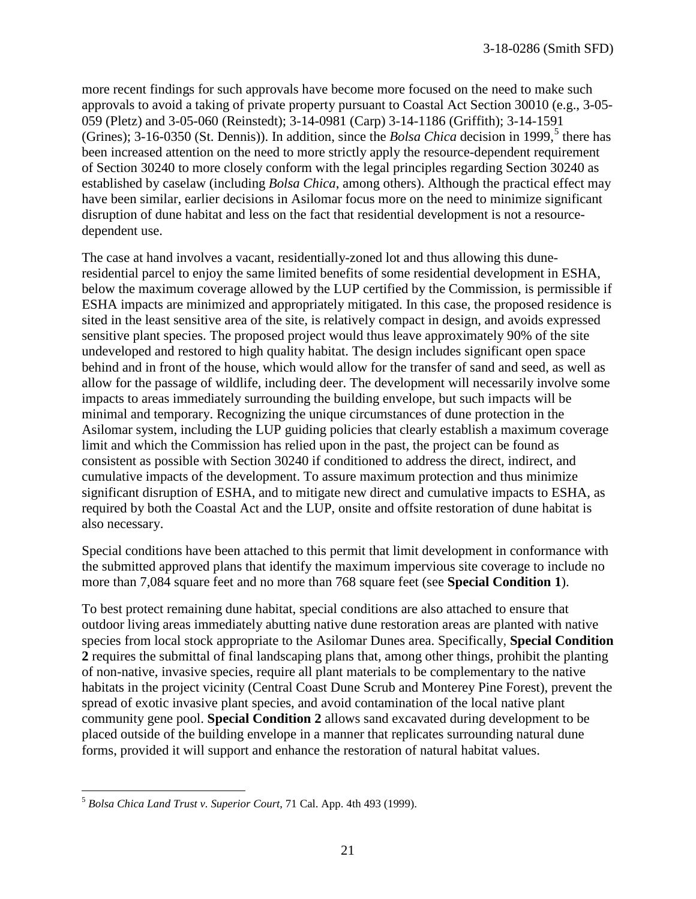more recent findings for such approvals have become more focused on the need to make such approvals to avoid a taking of private property pursuant to Coastal Act Section 30010 (e.g., 3-05- 059 (Pletz) and 3-05-060 (Reinstedt); 3-14-0981 (Carp) 3-14-1186 (Griffith); 3-14-1591 (Grines);  $3-16-0350$  $3-16-0350$  $3-16-0350$  (St. Dennis)). In addition, since the *Bolsa Chica* decision in 1999,<sup>5</sup> there has been increased attention on the need to more strictly apply the resource-dependent requirement of Section 30240 to more closely conform with the legal principles regarding Section 30240 as established by caselaw (including *Bolsa Chica*, among others). Although the practical effect may have been similar, earlier decisions in Asilomar focus more on the need to minimize significant disruption of dune habitat and less on the fact that residential development is not a resourcedependent use.

The case at hand involves a vacant, residentially-zoned lot and thus allowing this duneresidential parcel to enjoy the same limited benefits of some residential development in ESHA, below the maximum coverage allowed by the LUP certified by the Commission, is permissible if ESHA impacts are minimized and appropriately mitigated. In this case, the proposed residence is sited in the least sensitive area of the site, is relatively compact in design, and avoids expressed sensitive plant species. The proposed project would thus leave approximately 90% of the site undeveloped and restored to high quality habitat. The design includes significant open space behind and in front of the house, which would allow for the transfer of sand and seed, as well as allow for the passage of wildlife, including deer. The development will necessarily involve some impacts to areas immediately surrounding the building envelope, but such impacts will be minimal and temporary. Recognizing the unique circumstances of dune protection in the Asilomar system, including the LUP guiding policies that clearly establish a maximum coverage limit and which the Commission has relied upon in the past, the project can be found as consistent as possible with Section 30240 if conditioned to address the direct, indirect, and cumulative impacts of the development. To assure maximum protection and thus minimize significant disruption of ESHA, and to mitigate new direct and cumulative impacts to ESHA, as required by both the Coastal Act and the LUP, onsite and offsite restoration of dune habitat is also necessary.

Special conditions have been attached to this permit that limit development in conformance with the submitted approved plans that identify the maximum impervious site coverage to include no more than 7,084 square feet and no more than 768 square feet (see **Special Condition 1**).

To best protect remaining dune habitat, special conditions are also attached to ensure that outdoor living areas immediately abutting native dune restoration areas are planted with native species from local stock appropriate to the Asilomar Dunes area. Specifically, **Special Condition 2** requires the submittal of final landscaping plans that, among other things, prohibit the planting of non-native, invasive species, require all plant materials to be complementary to the native habitats in the project vicinity (Central Coast Dune Scrub and Monterey Pine Forest), prevent the spread of exotic invasive plant species, and avoid contamination of the local native plant community gene pool. **Special Condition 2** allows sand excavated during development to be placed outside of the building envelope in a manner that replicates surrounding natural dune forms, provided it will support and enhance the restoration of natural habitat values.

<span id="page-20-0"></span> $\overline{a}$ <sup>5</sup> *Bolsa Chica Land Trust v. Superior Court*, 71 Cal. App. 4th 493 (1999).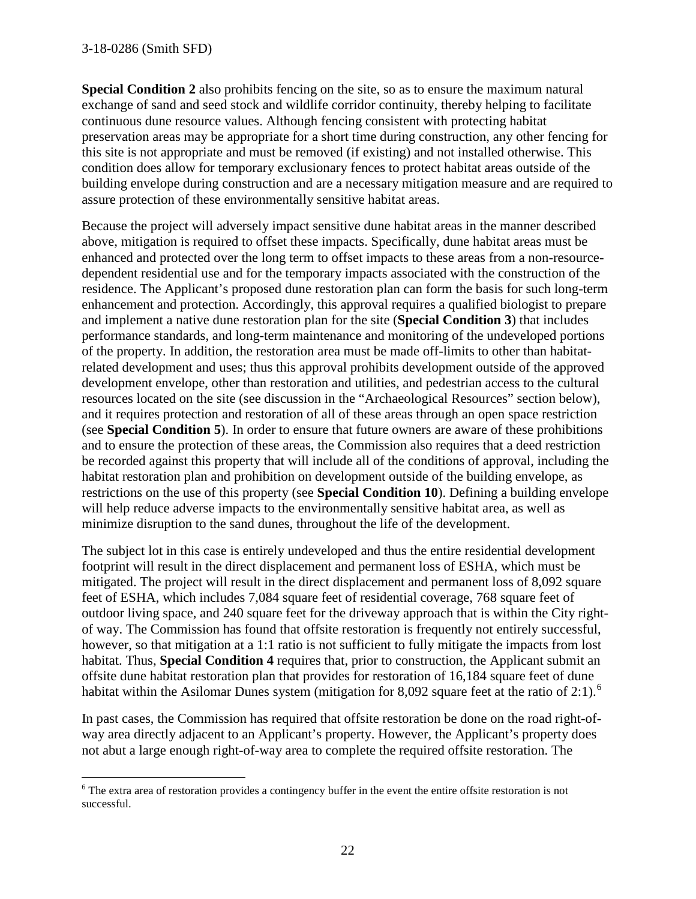#### 3-18-0286 (Smith SFD)

**Special Condition 2** also prohibits fencing on the site, so as to ensure the maximum natural exchange of sand and seed stock and wildlife corridor continuity, thereby helping to facilitate continuous dune resource values. Although fencing consistent with protecting habitat preservation areas may be appropriate for a short time during construction, any other fencing for this site is not appropriate and must be removed (if existing) and not installed otherwise. This condition does allow for temporary exclusionary fences to protect habitat areas outside of the building envelope during construction and are a necessary mitigation measure and are required to assure protection of these environmentally sensitive habitat areas.

Because the project will adversely impact sensitive dune habitat areas in the manner described above, mitigation is required to offset these impacts. Specifically, dune habitat areas must be enhanced and protected over the long term to offset impacts to these areas from a non-resourcedependent residential use and for the temporary impacts associated with the construction of the residence. The Applicant's proposed dune restoration plan can form the basis for such long-term enhancement and protection. Accordingly, this approval requires a qualified biologist to prepare and implement a native dune restoration plan for the site (**Special Condition 3**) that includes performance standards, and long-term maintenance and monitoring of the undeveloped portions of the property. In addition, the restoration area must be made off-limits to other than habitatrelated development and uses; thus this approval prohibits development outside of the approved development envelope, other than restoration and utilities, and pedestrian access to the cultural resources located on the site (see discussion in the "Archaeological Resources" section below), and it requires protection and restoration of all of these areas through an open space restriction (see **Special Condition 5**). In order to ensure that future owners are aware of these prohibitions and to ensure the protection of these areas, the Commission also requires that a deed restriction be recorded against this property that will include all of the conditions of approval, including the habitat restoration plan and prohibition on development outside of the building envelope, as restrictions on the use of this property (see **Special Condition 10**). Defining a building envelope will help reduce adverse impacts to the environmentally sensitive habitat area, as well as minimize disruption to the sand dunes, throughout the life of the development.

The subject lot in this case is entirely undeveloped and thus the entire residential development footprint will result in the direct displacement and permanent loss of ESHA, which must be mitigated. The project will result in the direct displacement and permanent loss of 8,092 square feet of ESHA, which includes 7,084 square feet of residential coverage, 768 square feet of outdoor living space, and 240 square feet for the driveway approach that is within the City rightof way. The Commission has found that offsite restoration is frequently not entirely successful, however, so that mitigation at a 1:1 ratio is not sufficient to fully mitigate the impacts from lost habitat. Thus, **Special Condition 4** requires that, prior to construction, the Applicant submit an offsite dune habitat restoration plan that provides for restoration of 16,184 square feet of dune habitat within the Asilomar Dunes system (mitigation for 8,092 square feet at the ratio of 2:1).<sup>[6](#page-21-0)</sup>

In past cases, the Commission has required that offsite restoration be done on the road right-ofway area directly adjacent to an Applicant's property. However, the Applicant's property does not abut a large enough right-of-way area to complete the required offsite restoration. The

<span id="page-21-0"></span> $\overline{a}$ <sup>6</sup> The extra area of restoration provides a contingency buffer in the event the entire offsite restoration is not successful.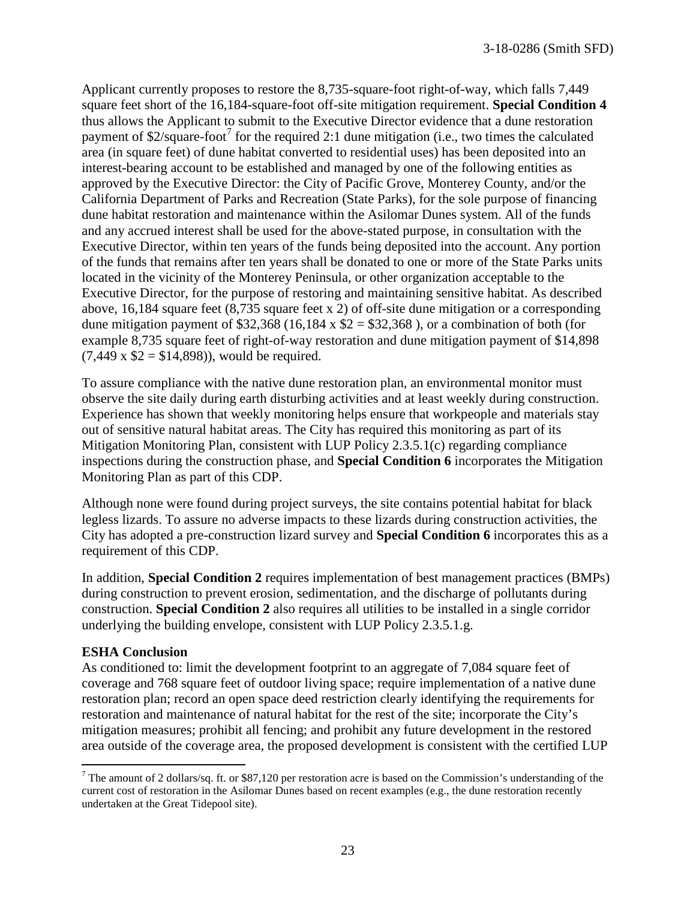Applicant currently proposes to restore the 8,735-square-foot right-of-way, which falls 7,449 square feet short of the 16,184-square-foot off-site mitigation requirement. **Special Condition 4** thus allows the Applicant to submit to the Executive Director evidence that a dune restoration payment of \$2/square-foot<sup>[7](#page-22-0)</sup> for the required 2:1 dune mitigation (i.e., two times the calculated area (in square feet) of dune habitat converted to residential uses) has been deposited into an interest-bearing account to be established and managed by one of the following entities as approved by the Executive Director: the City of Pacific Grove, Monterey County, and/or the California Department of Parks and Recreation (State Parks), for the sole purpose of financing dune habitat restoration and maintenance within the Asilomar Dunes system. All of the funds and any accrued interest shall be used for the above-stated purpose, in consultation with the Executive Director, within ten years of the funds being deposited into the account. Any portion of the funds that remains after ten years shall be donated to one or more of the State Parks units located in the vicinity of the Monterey Peninsula, or other organization acceptable to the Executive Director, for the purpose of restoring and maintaining sensitive habitat. As described above, 16,184 square feet  $(8,735)$  square feet x 2) of off-site dune mitigation or a corresponding dune mitigation payment of \$32,368 (16,184 x  $$2 = $32,368$ ), or a combination of both (for example 8,735 square feet of right-of-way restoration and dune mitigation payment of \$14,898  $(7,449 \times$  \$2 = \$14,898)), would be required.

To assure compliance with the native dune restoration plan, an environmental monitor must observe the site daily during earth disturbing activities and at least weekly during construction. Experience has shown that weekly monitoring helps ensure that workpeople and materials stay out of sensitive natural habitat areas. The City has required this monitoring as part of its Mitigation Monitoring Plan, consistent with LUP Policy 2.3.5.1(c) regarding compliance inspections during the construction phase, and **Special Condition 6** incorporates the Mitigation Monitoring Plan as part of this CDP.

Although none were found during project surveys, the site contains potential habitat for black legless lizards. To assure no adverse impacts to these lizards during construction activities, the City has adopted a pre-construction lizard survey and **Special Condition 6** incorporates this as a requirement of this CDP.

In addition, **Special Condition 2** requires implementation of best management practices (BMPs) during construction to prevent erosion, sedimentation, and the discharge of pollutants during construction. **Special Condition 2** also requires all utilities to be installed in a single corridor underlying the building envelope, consistent with LUP Policy 2.3.5.1.g.

#### **ESHA Conclusion**

As conditioned to: limit the development footprint to an aggregate of 7,084 square feet of coverage and 768 square feet of outdoor living space; require implementation of a native dune restoration plan; record an open space deed restriction clearly identifying the requirements for restoration and maintenance of natural habitat for the rest of the site; incorporate the City's mitigation measures; prohibit all fencing; and prohibit any future development in the restored area outside of the coverage area, the proposed development is consistent with the certified LUP

<span id="page-22-0"></span> $\overline{a}$  $7$  The amount of 2 dollars/sq. ft. or \$87,120 per restoration acre is based on the Commission's understanding of the current cost of restoration in the Asilomar Dunes based on recent examples (e.g., the dune restoration recently undertaken at the Great Tidepool site).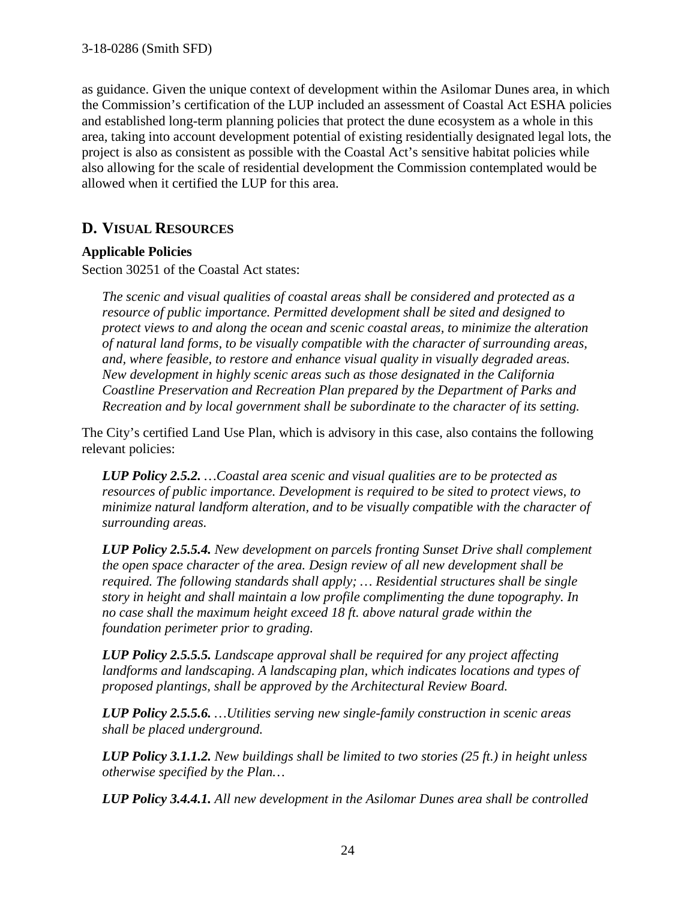as guidance. Given the unique context of development within the Asilomar Dunes area, in which the Commission's certification of the LUP included an assessment of Coastal Act ESHA policies and established long-term planning policies that protect the dune ecosystem as a whole in this area, taking into account development potential of existing residentially designated legal lots, the project is also as consistent as possible with the Coastal Act's sensitive habitat policies while also allowing for the scale of residential development the Commission contemplated would be allowed when it certified the LUP for this area.

## **D. VISUAL RESOURCES**

#### **Applicable Policies**

Section 30251 of the Coastal Act states:

*The scenic and visual qualities of coastal areas shall be considered and protected as a resource of public importance. Permitted development shall be sited and designed to protect views to and along the ocean and scenic coastal areas, to minimize the alteration of natural land forms, to be visually compatible with the character of surrounding areas, and, where feasible, to restore and enhance visual quality in visually degraded areas. New development in highly scenic areas such as those designated in the California Coastline Preservation and Recreation Plan prepared by the Department of Parks and Recreation and by local government shall be subordinate to the character of its setting.* 

The City's certified Land Use Plan, which is advisory in this case, also contains the following relevant policies:

*LUP Policy 2.5.2. …Coastal area scenic and visual qualities are to be protected as resources of public importance. Development is required to be sited to protect views, to minimize natural landform alteration, and to be visually compatible with the character of surrounding areas.* 

*LUP Policy 2.5.5.4. New development on parcels fronting Sunset Drive shall complement the open space character of the area. Design review of all new development shall be required. The following standards shall apply; … Residential structures shall be single story in height and shall maintain a low profile complimenting the dune topography. In*  no case shall the maximum height exceed 18 ft. above natural grade within the *foundation perimeter prior to grading.* 

*LUP Policy 2.5.5.5. Landscape approval shall be required for any project affecting landforms and landscaping. A landscaping plan, which indicates locations and types of proposed plantings, shall be approved by the Architectural Review Board.* 

*LUP Policy 2.5.5.6. …Utilities serving new single-family construction in scenic areas shall be placed underground.* 

*LUP Policy 3.1.1.2. New buildings shall be limited to two stories (25 ft.) in height unless otherwise specified by the Plan…*

*LUP Policy 3.4.4.1. All new development in the Asilomar Dunes area shall be controlled*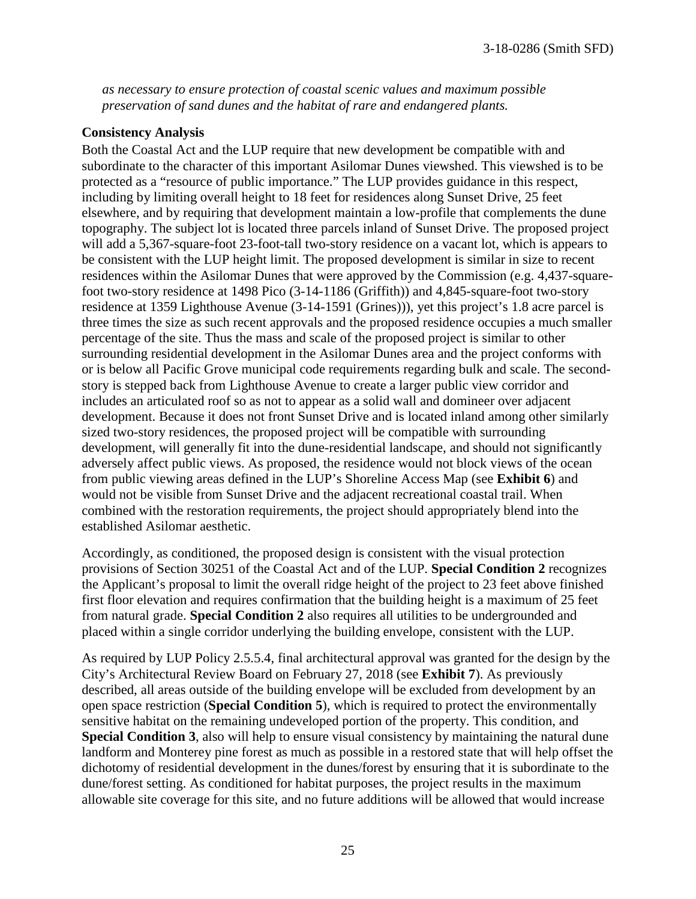*as necessary to ensure protection of coastal scenic values and maximum possible preservation of sand dunes and the habitat of rare and endangered plants.* 

#### **Consistency Analysis**

Both the Coastal Act and the LUP require that new development be compatible with and subordinate to the character of this important Asilomar Dunes viewshed. This viewshed is to be protected as a "resource of public importance." The LUP provides guidance in this respect, including by limiting overall height to 18 feet for residences along Sunset Drive, 25 feet elsewhere, and by requiring that development maintain a low-profile that complements the dune topography. The subject lot is located three parcels inland of Sunset Drive. The proposed project will add a 5,367-square-foot 23-foot-tall two-story residence on a vacant lot, which is appears to be consistent with the LUP height limit. The proposed development is similar in size to recent residences within the Asilomar Dunes that were approved by the Commission (e.g. 4,437-squarefoot two-story residence at 1498 Pico (3-14-1186 (Griffith)) and 4,845-square-foot two-story residence at 1359 Lighthouse Avenue (3-14-1591 (Grines))), yet this project's 1.8 acre parcel is three times the size as such recent approvals and the proposed residence occupies a much smaller percentage of the site. Thus the mass and scale of the proposed project is similar to other surrounding residential development in the Asilomar Dunes area and the project conforms with or is below all Pacific Grove municipal code requirements regarding bulk and scale. The secondstory is stepped back from Lighthouse Avenue to create a larger public view corridor and includes an articulated roof so as not to appear as a solid wall and domineer over adjacent development. Because it does not front Sunset Drive and is located inland among other similarly sized two-story residences, the proposed project will be compatible with surrounding development, will generally fit into the dune-residential landscape, and should not significantly adversely affect public views. As proposed, the residence would not block views of the ocean from public viewing areas defined in the LUP's Shoreline Access Map (see **Exhibit 6**) and would not be visible from Sunset Drive and the adjacent recreational coastal trail. When combined with the restoration requirements, the project should appropriately blend into the established Asilomar aesthetic.

Accordingly, as conditioned, the proposed design is consistent with the visual protection provisions of Section 30251 of the Coastal Act and of the LUP. **Special Condition 2** recognizes the Applicant's proposal to limit the overall ridge height of the project to 23 feet above finished first floor elevation and requires confirmation that the building height is a maximum of 25 feet from natural grade. **Special Condition 2** also requires all utilities to be undergrounded and placed within a single corridor underlying the building envelope, consistent with the LUP.

As required by LUP Policy 2.5.5.4, final architectural approval was granted for the design by the City's Architectural Review Board on February 27, 2018 (see **Exhibit 7**). As previously described, all areas outside of the building envelope will be excluded from development by an open space restriction (**Special Condition 5**), which is required to protect the environmentally sensitive habitat on the remaining undeveloped portion of the property. This condition, and **Special Condition 3**, also will help to ensure visual consistency by maintaining the natural dune landform and Monterey pine forest as much as possible in a restored state that will help offset the dichotomy of residential development in the dunes/forest by ensuring that it is subordinate to the dune/forest setting. As conditioned for habitat purposes, the project results in the maximum allowable site coverage for this site, and no future additions will be allowed that would increase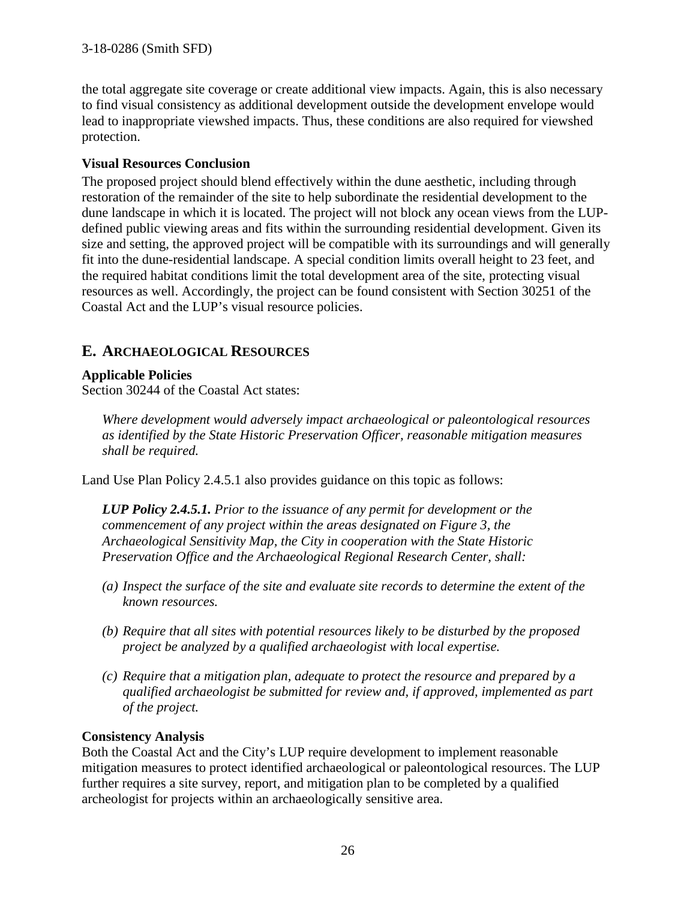the total aggregate site coverage or create additional view impacts. Again, this is also necessary to find visual consistency as additional development outside the development envelope would lead to inappropriate viewshed impacts. Thus, these conditions are also required for viewshed protection.

#### **Visual Resources Conclusion**

The proposed project should blend effectively within the dune aesthetic, including through restoration of the remainder of the site to help subordinate the residential development to the dune landscape in which it is located. The project will not block any ocean views from the LUPdefined public viewing areas and fits within the surrounding residential development. Given its size and setting, the approved project will be compatible with its surroundings and will generally fit into the dune-residential landscape. A special condition limits overall height to 23 feet, and the required habitat conditions limit the total development area of the site, protecting visual resources as well. Accordingly, the project can be found consistent with Section 30251 of the Coastal Act and the LUP's visual resource policies.

# **E. ARCHAEOLOGICAL RESOURCES**

#### **Applicable Policies**

Section 30244 of the Coastal Act states:

*Where development would adversely impact archaeological or paleontological resources as identified by the State Historic Preservation Officer, reasonable mitigation measures shall be required.* 

Land Use Plan Policy 2.4.5.1 also provides guidance on this topic as follows:

*LUP Policy 2.4.5.1. Prior to the issuance of any permit for development or the commencement of any project within the areas designated on Figure 3, the Archaeological Sensitivity Map, the City in cooperation with the State Historic Preservation Office and the Archaeological Regional Research Center, shall:* 

- *(a) Inspect the surface of the site and evaluate site records to determine the extent of the known resources.*
- *(b) Require that all sites with potential resources likely to be disturbed by the proposed project be analyzed by a qualified archaeologist with local expertise.*
- *(c) Require that a mitigation plan, adequate to protect the resource and prepared by a qualified archaeologist be submitted for review and, if approved, implemented as part of the project.*

#### **Consistency Analysis**

Both the Coastal Act and the City's LUP require development to implement reasonable mitigation measures to protect identified archaeological or paleontological resources. The LUP further requires a site survey, report, and mitigation plan to be completed by a qualified archeologist for projects within an archaeologically sensitive area.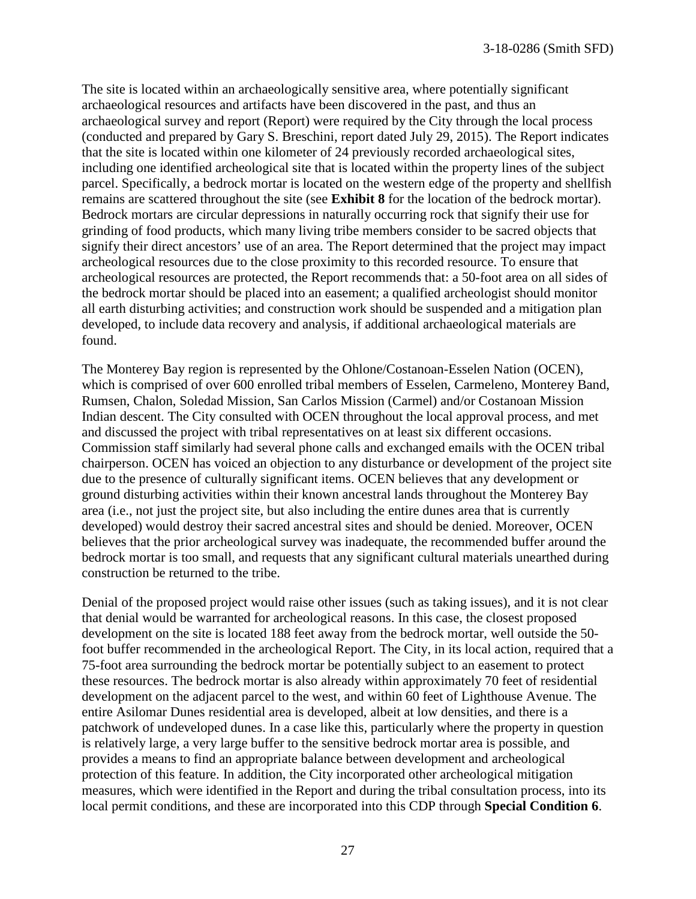The site is located within an archaeologically sensitive area, where potentially significant archaeological resources and artifacts have been discovered in the past, and thus an archaeological survey and report (Report) were required by the City through the local process (conducted and prepared by Gary S. Breschini, report dated July 29, 2015). The Report indicates that the site is located within one kilometer of 24 previously recorded archaeological sites, including one identified archeological site that is located within the property lines of the subject parcel. Specifically, a bedrock mortar is located on the western edge of the property and shellfish remains are scattered throughout the site (see **Exhibit 8** for the location of the bedrock mortar). Bedrock mortars are circular depressions in naturally occurring rock that signify their use for grinding of food products, which many living tribe members consider to be sacred objects that signify their direct ancestors' use of an area. The Report determined that the project may impact archeological resources due to the close proximity to this recorded resource. To ensure that archeological resources are protected, the Report recommends that: a 50-foot area on all sides of the bedrock mortar should be placed into an easement; a qualified archeologist should monitor all earth disturbing activities; and construction work should be suspended and a mitigation plan developed, to include data recovery and analysis, if additional archaeological materials are found.

The Monterey Bay region is represented by the Ohlone/Costanoan-Esselen Nation (OCEN), which is comprised of over 600 enrolled tribal members of Esselen, Carmeleno, Monterey Band, Rumsen, Chalon, Soledad Mission, San Carlos Mission (Carmel) and/or Costanoan Mission Indian descent. The City consulted with OCEN throughout the local approval process, and met and discussed the project with tribal representatives on at least six different occasions. Commission staff similarly had several phone calls and exchanged emails with the OCEN tribal chairperson. OCEN has voiced an objection to any disturbance or development of the project site due to the presence of culturally significant items. OCEN believes that any development or ground disturbing activities within their known ancestral lands throughout the Monterey Bay area (i.e., not just the project site, but also including the entire dunes area that is currently developed) would destroy their sacred ancestral sites and should be denied. Moreover, OCEN believes that the prior archeological survey was inadequate, the recommended buffer around the bedrock mortar is too small, and requests that any significant cultural materials unearthed during construction be returned to the tribe.

Denial of the proposed project would raise other issues (such as taking issues), and it is not clear that denial would be warranted for archeological reasons. In this case, the closest proposed development on the site is located 188 feet away from the bedrock mortar, well outside the 50 foot buffer recommended in the archeological Report. The City, in its local action, required that a 75-foot area surrounding the bedrock mortar be potentially subject to an easement to protect these resources. The bedrock mortar is also already within approximately 70 feet of residential development on the adjacent parcel to the west, and within 60 feet of Lighthouse Avenue. The entire Asilomar Dunes residential area is developed, albeit at low densities, and there is a patchwork of undeveloped dunes. In a case like this, particularly where the property in question is relatively large, a very large buffer to the sensitive bedrock mortar area is possible, and provides a means to find an appropriate balance between development and archeological protection of this feature. In addition, the City incorporated other archeological mitigation measures, which were identified in the Report and during the tribal consultation process, into its local permit conditions, and these are incorporated into this CDP through **Special Condition 6**.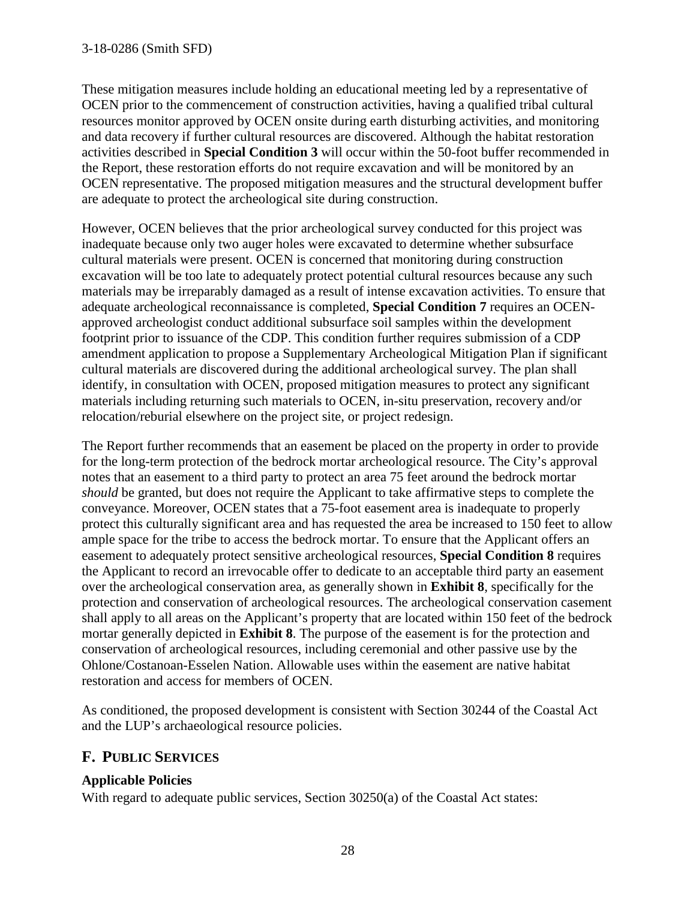These mitigation measures include holding an educational meeting led by a representative of OCEN prior to the commencement of construction activities, having a qualified tribal cultural resources monitor approved by OCEN onsite during earth disturbing activities, and monitoring and data recovery if further cultural resources are discovered. Although the habitat restoration activities described in **Special Condition 3** will occur within the 50-foot buffer recommended in the Report, these restoration efforts do not require excavation and will be monitored by an OCEN representative. The proposed mitigation measures and the structural development buffer are adequate to protect the archeological site during construction.

However, OCEN believes that the prior archeological survey conducted for this project was inadequate because only two auger holes were excavated to determine whether subsurface cultural materials were present. OCEN is concerned that monitoring during construction excavation will be too late to adequately protect potential cultural resources because any such materials may be irreparably damaged as a result of intense excavation activities. To ensure that adequate archeological reconnaissance is completed, **Special Condition 7** requires an OCENapproved archeologist conduct additional subsurface soil samples within the development footprint prior to issuance of the CDP. This condition further requires submission of a CDP amendment application to propose a Supplementary Archeological Mitigation Plan if significant cultural materials are discovered during the additional archeological survey. The plan shall identify, in consultation with OCEN, proposed mitigation measures to protect any significant materials including returning such materials to OCEN, in-situ preservation, recovery and/or relocation/reburial elsewhere on the project site, or project redesign.

The Report further recommends that an easement be placed on the property in order to provide for the long-term protection of the bedrock mortar archeological resource. The City's approval notes that an easement to a third party to protect an area 75 feet around the bedrock mortar *should* be granted, but does not require the Applicant to take affirmative steps to complete the conveyance. Moreover, OCEN states that a 75-foot easement area is inadequate to properly protect this culturally significant area and has requested the area be increased to 150 feet to allow ample space for the tribe to access the bedrock mortar. To ensure that the Applicant offers an easement to adequately protect sensitive archeological resources, **Special Condition 8** requires the Applicant to record an irrevocable offer to dedicate to an acceptable third party an easement over the archeological conservation area, as generally shown in **Exhibit 8**, specifically for the protection and conservation of archeological resources. The archeological conservation casement shall apply to all areas on the Applicant's property that are located within 150 feet of the bedrock mortar generally depicted in **Exhibit 8**. The purpose of the easement is for the protection and conservation of archeological resources, including ceremonial and other passive use by the Ohlone/Costanoan-Esselen Nation. Allowable uses within the easement are native habitat restoration and access for members of OCEN.

As conditioned, the proposed development is consistent with Section 30244 of the Coastal Act and the LUP's archaeological resource policies.

# **F. PUBLIC SERVICES**

#### **Applicable Policies**

With regard to adequate public services, Section 30250(a) of the Coastal Act states: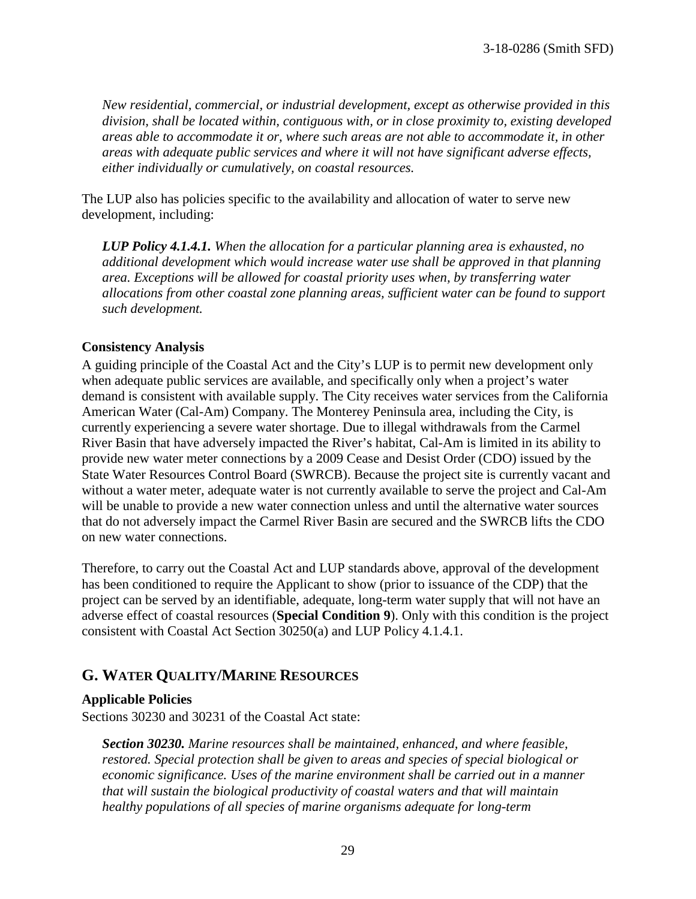*New residential, commercial, or industrial development, except as otherwise provided in this division, shall be located within, contiguous with, or in close proximity to, existing developed areas able to accommodate it or, where such areas are not able to accommodate it, in other areas with adequate public services and where it will not have significant adverse effects, either individually or cumulatively, on coastal resources.* 

The LUP also has policies specific to the availability and allocation of water to serve new development, including:

*LUP Policy 4.1.4.1. When the allocation for a particular planning area is exhausted, no additional development which would increase water use shall be approved in that planning area. Exceptions will be allowed for coastal priority uses when, by transferring water allocations from other coastal zone planning areas, sufficient water can be found to support such development.* 

#### **Consistency Analysis**

A guiding principle of the Coastal Act and the City's LUP is to permit new development only when adequate public services are available, and specifically only when a project's water demand is consistent with available supply. The City receives water services from the California American Water (Cal-Am) Company. The Monterey Peninsula area, including the City, is currently experiencing a severe water shortage. Due to illegal withdrawals from the Carmel River Basin that have adversely impacted the River's habitat, Cal-Am is limited in its ability to provide new water meter connections by a 2009 Cease and Desist Order (CDO) issued by the State Water Resources Control Board (SWRCB). Because the project site is currently vacant and without a water meter, adequate water is not currently available to serve the project and Cal-Am will be unable to provide a new water connection unless and until the alternative water sources that do not adversely impact the Carmel River Basin are secured and the SWRCB lifts the CDO on new water connections.

Therefore, to carry out the Coastal Act and LUP standards above, approval of the development has been conditioned to require the Applicant to show (prior to issuance of the CDP) that the project can be served by an identifiable, adequate, long-term water supply that will not have an adverse effect of coastal resources (**Special Condition 9**). Only with this condition is the project consistent with Coastal Act Section 30250(a) and LUP Policy 4.1.4.1.

# **G. WATER QUALITY/MARINE RESOURCES**

#### **Applicable Policies**

Sections 30230 and 30231 of the Coastal Act state:

*Section 30230. Marine resources shall be maintained, enhanced, and where feasible, restored. Special protection shall be given to areas and species of special biological or economic significance. Uses of the marine environment shall be carried out in a manner that will sustain the biological productivity of coastal waters and that will maintain healthy populations of all species of marine organisms adequate for long-term*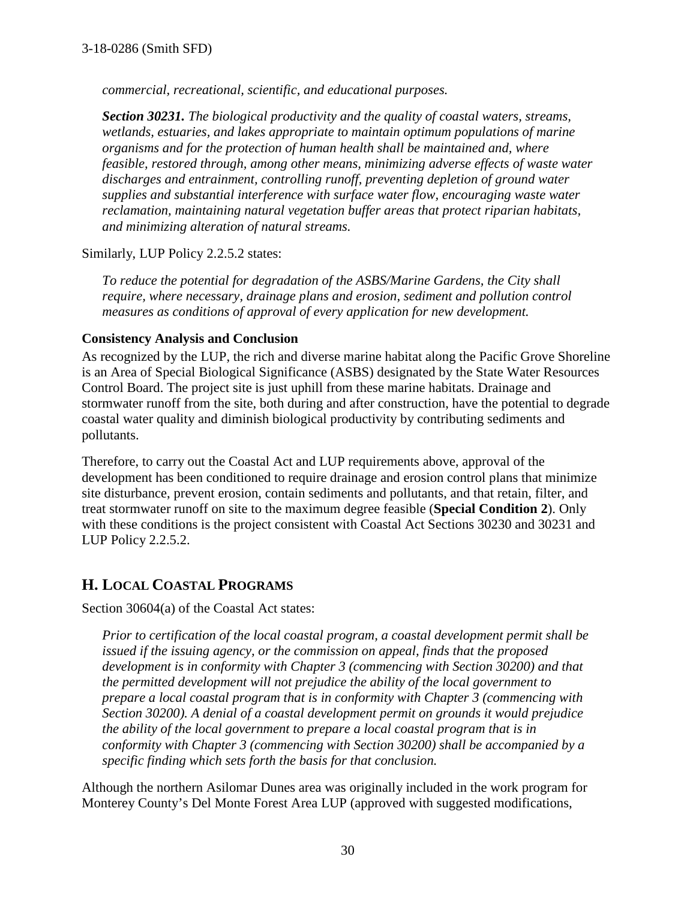*commercial, recreational, scientific, and educational purposes.* 

*Section 30231. The biological productivity and the quality of coastal waters, streams, wetlands, estuaries, and lakes appropriate to maintain optimum populations of marine organisms and for the protection of human health shall be maintained and, where feasible, restored through, among other means, minimizing adverse effects of waste water discharges and entrainment, controlling runoff, preventing depletion of ground water supplies and substantial interference with surface water flow, encouraging waste water reclamation, maintaining natural vegetation buffer areas that protect riparian habitats, and minimizing alteration of natural streams.* 

Similarly, LUP Policy 2.2.5.2 states:

*To reduce the potential for degradation of the ASBS/Marine Gardens, the City shall require, where necessary, drainage plans and erosion, sediment and pollution control measures as conditions of approval of every application for new development.* 

#### **Consistency Analysis and Conclusion**

As recognized by the LUP, the rich and diverse marine habitat along the Pacific Grove Shoreline is an Area of Special Biological Significance (ASBS) designated by the State Water Resources Control Board. The project site is just uphill from these marine habitats. Drainage and stormwater runoff from the site, both during and after construction, have the potential to degrade coastal water quality and diminish biological productivity by contributing sediments and pollutants.

Therefore, to carry out the Coastal Act and LUP requirements above, approval of the development has been conditioned to require drainage and erosion control plans that minimize site disturbance, prevent erosion, contain sediments and pollutants, and that retain, filter, and treat stormwater runoff on site to the maximum degree feasible (**Special Condition 2**). Only with these conditions is the project consistent with Coastal Act Sections 30230 and 30231 and LUP Policy 2.2.5.2.

# **H. LOCAL COASTAL PROGRAMS**

Section 30604(a) of the Coastal Act states:

*Prior to certification of the local coastal program, a coastal development permit shall be issued if the issuing agency, or the commission on appeal, finds that the proposed development is in conformity with Chapter 3 (commencing with Section 30200) and that the permitted development will not prejudice the ability of the local government to prepare a local coastal program that is in conformity with Chapter 3 (commencing with Section 30200). A denial of a coastal development permit on grounds it would prejudice the ability of the local government to prepare a local coastal program that is in conformity with Chapter 3 (commencing with Section 30200) shall be accompanied by a specific finding which sets forth the basis for that conclusion.* 

Although the northern Asilomar Dunes area was originally included in the work program for Monterey County's Del Monte Forest Area LUP (approved with suggested modifications,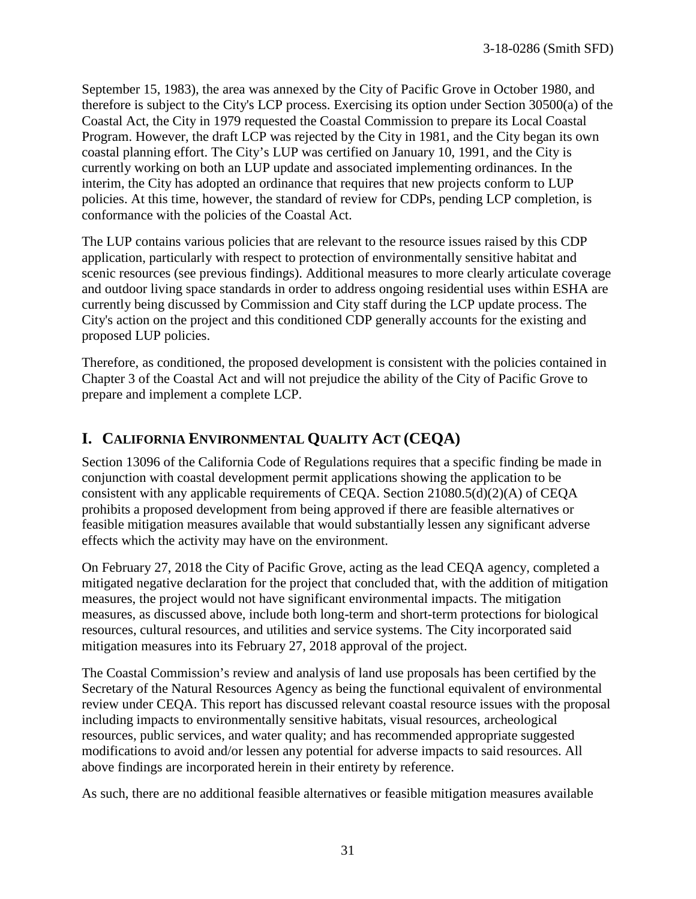September 15, 1983), the area was annexed by the City of Pacific Grove in October 1980, and therefore is subject to the City's LCP process. Exercising its option under Section 30500(a) of the Coastal Act, the City in 1979 requested the Coastal Commission to prepare its Local Coastal Program. However, the draft LCP was rejected by the City in 1981, and the City began its own coastal planning effort. The City's LUP was certified on January 10, 1991, and the City is currently working on both an LUP update and associated implementing ordinances. In the interim, the City has adopted an ordinance that requires that new projects conform to LUP policies. At this time, however, the standard of review for CDPs, pending LCP completion, is conformance with the policies of the Coastal Act.

The LUP contains various policies that are relevant to the resource issues raised by this CDP application, particularly with respect to protection of environmentally sensitive habitat and scenic resources (see previous findings). Additional measures to more clearly articulate coverage and outdoor living space standards in order to address ongoing residential uses within ESHA are currently being discussed by Commission and City staff during the LCP update process. The City's action on the project and this conditioned CDP generally accounts for the existing and proposed LUP policies.

Therefore, as conditioned, the proposed development is consistent with the policies contained in Chapter 3 of the Coastal Act and will not prejudice the ability of the City of Pacific Grove to prepare and implement a complete LCP.

# **I. CALIFORNIA ENVIRONMENTAL QUALITY ACT (CEQA)**

Section 13096 of the California Code of Regulations requires that a specific finding be made in conjunction with coastal development permit applications showing the application to be consistent with any applicable requirements of CEQA. Section 21080.5(d)(2)(A) of CEQA prohibits a proposed development from being approved if there are feasible alternatives or feasible mitigation measures available that would substantially lessen any significant adverse effects which the activity may have on the environment.

On February 27, 2018 the City of Pacific Grove, acting as the lead CEQA agency, completed a mitigated negative declaration for the project that concluded that, with the addition of mitigation measures, the project would not have significant environmental impacts. The mitigation measures, as discussed above, include both long-term and short-term protections for biological resources, cultural resources, and utilities and service systems. The City incorporated said mitigation measures into its February 27, 2018 approval of the project.

The Coastal Commission's review and analysis of land use proposals has been certified by the Secretary of the Natural Resources Agency as being the functional equivalent of environmental review under CEQA. This report has discussed relevant coastal resource issues with the proposal including impacts to environmentally sensitive habitats, visual resources, archeological resources, public services, and water quality; and has recommended appropriate suggested modifications to avoid and/or lessen any potential for adverse impacts to said resources. All above findings are incorporated herein in their entirety by reference.

As such, there are no additional feasible alternatives or feasible mitigation measures available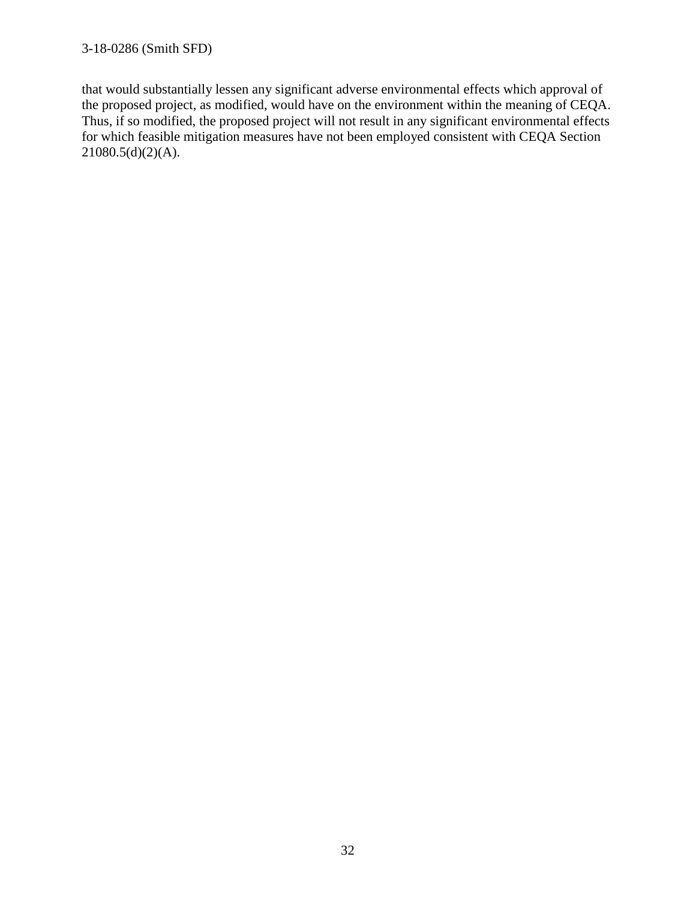that would substantially lessen any significant adverse environmental effects which approval of the proposed project, as modified, would have on the environment within the meaning of CEQA. Thus, if so modified, the proposed project will not result in any significant environmental effects for which feasible mitigation measures have not been employed consistent with CEQA Section 21080.5(d)(2)(A).